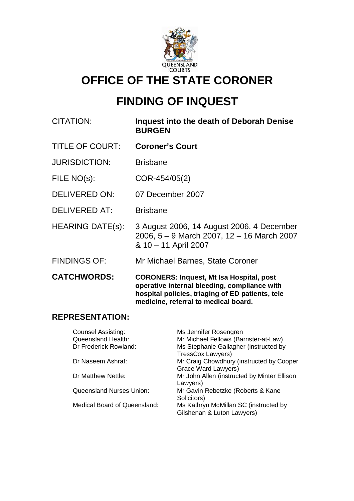

# **OFFICE OF THE STATE CORONER**

# **FINDING OF INQUEST**

| <b>CITATION:</b>        | Inquest into the death of Deborah Denise<br><b>BURGEN</b>                                                                                                                                   |
|-------------------------|---------------------------------------------------------------------------------------------------------------------------------------------------------------------------------------------|
| <b>TITLE OF COURT:</b>  | <b>Coroner's Court</b>                                                                                                                                                                      |
| <b>JURISDICTION:</b>    | <b>Brisbane</b>                                                                                                                                                                             |
| FILE NO(s):             | COR-454/05(2)                                                                                                                                                                               |
| <b>DELIVERED ON:</b>    | 07 December 2007                                                                                                                                                                            |
| <b>DELIVERED AT:</b>    | <b>Brisbane</b>                                                                                                                                                                             |
| <b>HEARING DATE(s):</b> | 3 August 2006, 14 August 2006, 4 December<br>2006, 5 - 9 March 2007, 12 - 16 March 2007<br>& 10 – 11 April 2007                                                                             |
| <b>FINDINGS OF:</b>     | Mr Michael Barnes, State Coroner                                                                                                                                                            |
| <b>CATCHWORDS:</b>      | <b>CORONERS: Inquest, Mt Isa Hospital, post</b><br>operative internal bleeding, compliance with<br>hospital policies, triaging of ED patients, tele<br>medicine, referral to medical board. |

# **REPRESENTATION:**

| <b>Counsel Assisting:</b><br><b>Queensland Health:</b> | Ms Jennifer Rosengren<br>Mr Michael Fellows (Barrister-at-Law)      |
|--------------------------------------------------------|---------------------------------------------------------------------|
| Dr Frederick Rowland:                                  | Ms Stephanie Gallagher (instructed by                               |
| Dr Naseem Ashraf:                                      | TressCox Lawyers)<br>Mr Craig Chowdhury (instructed by Cooper       |
|                                                        | Grace Ward Lawyers)                                                 |
| Dr Matthew Nettle:                                     | Mr John Allen (instructed by Minter Ellison<br>Lawyers)             |
| <b>Queensland Nurses Union:</b>                        | Mr Gavin Rebetzke (Roberts & Kane<br>Solicitors)                    |
| Medical Board of Queensland:                           | Ms Kathryn McMillan SC (instructed by<br>Gilshenan & Luton Lawyers) |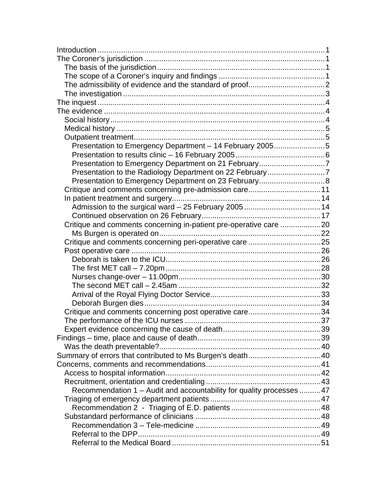| Presentation to Emergency Department - 14 February 20055              |  |
|-----------------------------------------------------------------------|--|
|                                                                       |  |
|                                                                       |  |
| Presentation to the Radiology Department on 22 February7              |  |
| Presentation to Emergency Department on 23 February 8                 |  |
|                                                                       |  |
|                                                                       |  |
|                                                                       |  |
|                                                                       |  |
| Critique and comments concerning in-patient pre-operative care 20     |  |
|                                                                       |  |
|                                                                       |  |
|                                                                       |  |
|                                                                       |  |
|                                                                       |  |
|                                                                       |  |
|                                                                       |  |
|                                                                       |  |
|                                                                       |  |
| Critique and comments concerning post operative care34                |  |
|                                                                       |  |
|                                                                       |  |
|                                                                       |  |
|                                                                       |  |
|                                                                       |  |
|                                                                       |  |
|                                                                       |  |
|                                                                       |  |
| Recommendation 1 - Audit and accountability for quality processes  47 |  |
|                                                                       |  |
|                                                                       |  |
|                                                                       |  |
|                                                                       |  |
|                                                                       |  |
|                                                                       |  |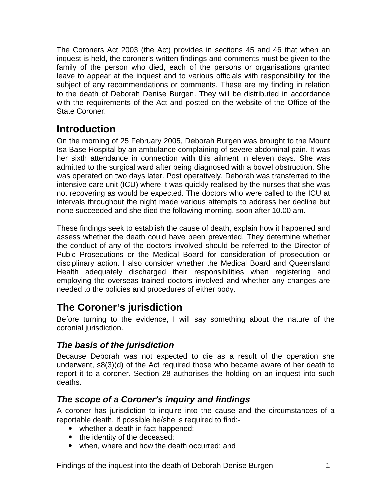<span id="page-2-0"></span>The Coroners Act 2003 (the Act) provides in sections 45 and 46 that when an inquest is held, the coroner's written findings and comments must be given to the family of the person who died, each of the persons or organisations granted leave to appear at the inquest and to various officials with responsibility for the subject of any recommendations or comments. These are my finding in relation to the death of Deborah Denise Burgen. They will be distributed in accordance with the requirements of the Act and posted on the website of the Office of the State Coroner.

# **Introduction**

On the morning of 25 February 2005, Deborah Burgen was brought to the Mount Isa Base Hospital by an ambulance complaining of severe abdominal pain. It was her sixth attendance in connection with this ailment in eleven days. She was admitted to the surgical ward after being diagnosed with a bowel obstruction. She was operated on two days later. Post operatively, Deborah was transferred to the intensive care unit (ICU) where it was quickly realised by the nurses that she was not recovering as would be expected. The doctors who were called to the ICU at intervals throughout the night made various attempts to address her decline but none succeeded and she died the following morning, soon after 10.00 am.

These findings seek to establish the cause of death, explain how it happened and assess whether the death could have been prevented. They determine whether the conduct of any of the doctors involved should be referred to the Director of Pubic Prosecutions or the Medical Board for consideration of prosecution or disciplinary action. I also consider whether the Medical Board and Queensland Health adequately discharged their responsibilities when registering and employing the overseas trained doctors involved and whether any changes are needed to the policies and procedures of either body.

# **The Coroner's jurisdiction**

Before turning to the evidence, I will say something about the nature of the coronial jurisdiction.

# *The basis of the jurisdiction*

Because Deborah was not expected to die as a result of the operation she underwent, s8(3)(d) of the Act required those who became aware of her death to report it to a coroner. Section 28 authorises the holding on an inquest into such deaths.

# *The scope of a Coroner's inquiry and findings*

A coroner has jurisdiction to inquire into the cause and the circumstances of a reportable death. If possible he/she is required to find:-

- whether a death in fact happened;
- the identity of the deceased;
- when, where and how the death occurred; and

Findings of the inquest into the death of Deborah Denise Burgen 1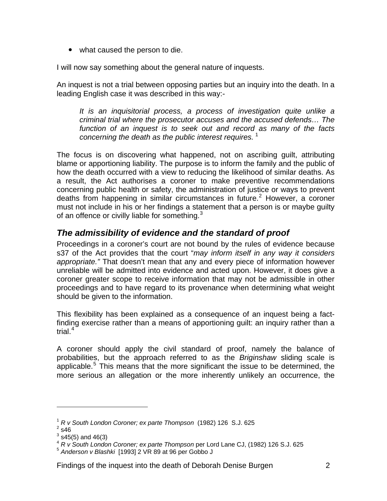<span id="page-3-0"></span>• what caused the person to die.

I will now say something about the general nature of inquests.

An inquest is not a trial between opposing parties but an inquiry into the death. In a leading English case it was described in this way:-

*It is an inquisitorial process, a process of investigation quite unlike a criminal trial where the prosecutor accuses and the accused defends… The function of an inquest is to seek out and record as many of the facts concerning the death as the public interest requires.*<sup>[1](#page-3-1)</sup>

The focus is on discovering what happened, not on ascribing guilt, attributing blame or apportioning liability. The purpose is to inform the family and the public of how the death occurred with a view to reducing the likelihood of similar deaths. As a result, the Act authorises a coroner to make preventive recommendations concerning public health or safety, the administration of justice or ways to prevent deaths from happening in similar circumstances in future.<sup>[2](#page-3-2)</sup> However, a coroner must not include in his or her findings a statement that a person is or maybe guilty of an offence or civilly liable for something. $3$ 

# *The admissibility of evidence and the standard of proof*

Proceedings in a coroner's court are not bound by the rules of evidence because s37 of the Act provides that the court "*may inform itself in any way it considers appropriate."* That doesn't mean that any and every piece of information however unreliable will be admitted into evidence and acted upon. However, it does give a coroner greater scope to receive information that may not be admissible in other proceedings and to have regard to its provenance when determining what weight should be given to the information.

This flexibility has been explained as a consequence of an inquest being a factfinding exercise rather than a means of apportioning guilt: an inquiry rather than a trial.<sup>[4](#page-3-4)</sup>

A coroner should apply the civil standard of proof, namely the balance of probabilities, but the approach referred to as the *Briginshaw* sliding scale is applicable.<sup>[5](#page-3-5)</sup> This means that the more significant the issue to be determined, the more serious an allegation or the more inherently unlikely an occurrence, the

l

<sup>1</sup> *R v South London Coroner; ex parte Thompson* (1982) 126 S.J. 625 2

<span id="page-3-2"></span><span id="page-3-1"></span> $2\overline{\phantom{a}}$ s46

 $^3$  s45(5) and 46(3)

<span id="page-3-4"></span><span id="page-3-3"></span><sup>4</sup> *R v South London Coroner; ex parte Thompson* per Lord Lane CJ, (1982) 126 S.J. 625<br>
<sup>5</sup> Anderson v Blashki [1993] 2 VR 89 at 96 per Gobbo J

<span id="page-3-5"></span>

Findings of the inquest into the death of Deborah Denise Burgen 2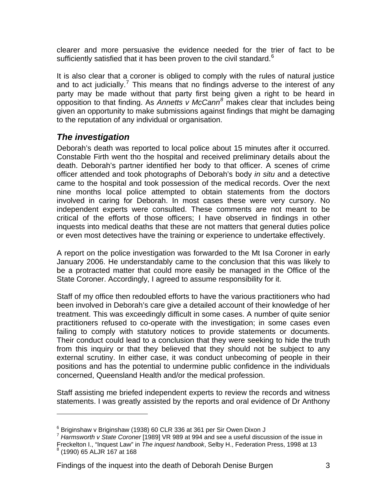<span id="page-4-0"></span>clearer and more persuasive the evidence needed for the trier of fact to be sufficiently satisfied that it has been proven to the civil standard.<sup>[6](#page-4-1)</sup>

It is also clear that a coroner is obliged to comply with the rules of natural justice and to act judicially.<sup>[7](#page-4-2)</sup> This means that no findings adverse to the interest of any party may be made without that party first being given a right to be heard in opposition to that finding. As *Annetts v McCann[8](#page-4-3)* makes clear that includes being given an opportunity to make submissions against findings that might be damaging to the reputation of any individual or organisation.

# *The investigation*

l

Deborah's death was reported to local police about 15 minutes after it occurred. Constable Firth went tho the hospital and received preliminary details about the death. Deborah's partner identified her body to that officer. A scenes of crime officer attended and took photographs of Deborah's body *in situ* and a detective came to the hospital and took possession of the medical records. Over the next nine months local police attempted to obtain statements from the doctors involved in caring for Deborah. In most cases these were very cursory. No independent experts were consulted. These comments are not meant to be critical of the efforts of those officers; I have observed in findings in other inquests into medical deaths that these are not matters that general duties police or even most detectives have the training or experience to undertake effectively.

A report on the police investigation was forwarded to the Mt Isa Coroner in early January 2006. He understandably came to the conclusion that this was likely to be a protracted matter that could more easily be managed in the Office of the State Coroner. Accordingly, I agreed to assume responsibility for it.

Staff of my office then redoubled efforts to have the various practitioners who had been involved in Deborah's care give a detailed account of their knowledge of her treatment. This was exceedingly difficult in some cases. A number of quite senior practitioners refused to co-operate with the investigation; in some cases even failing to comply with statutory notices to provide statements or documents. Their conduct could lead to a conclusion that they were seeking to hide the truth from this inquiry or that they believed that they should not be subject to any external scrutiny. In either case, it was conduct unbecoming of people in their positions and has the potential to undermine public confidence in the individuals concerned, Queensland Health and/or the medical profession.

Staff assisting me briefed independent experts to review the records and witness statements. I was greatly assisted by the reports and oral evidence of Dr Anthony

<sup>&</sup>lt;sup>6</sup> Briginshaw v Briginshaw (1938) 60 CLR 336 at 361 per Sir Owen Dixon J

<span id="page-4-2"></span><span id="page-4-1"></span><sup>7</sup> *Harmsworth v State Coroner* [1989] VR 989 at 994 and see a useful discussion of the issue in Freckelton I., "Inquest Law" in *The inquest handbook*, Selby H., Federation Press, 1998 at 13 8 (1990) 65 ALJR 167 at 168

<span id="page-4-3"></span>Findings of the inquest into the death of Deborah Denise Burgen 3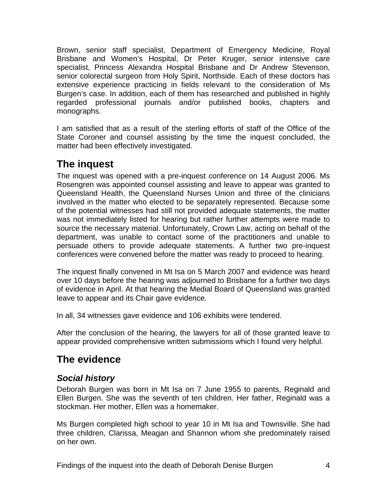<span id="page-5-0"></span>Brown, senior staff specialist, Department of Emergency Medicine, Royal Brisbane and Women's Hospital, Dr Peter Kruger, senior intensive care specialist, Princess Alexandra Hospital Brisbane and Dr Andrew Stevenson, senior colorectal surgeon from Holy Spirit, Northside. Each of these doctors has extensive experience practicing in fields relevant to the consideration of Ms Burgen's case. In addition, each of them has researched and published in highly regarded professional journals and/or published books, chapters and monographs.

I am satisfied that as a result of the sterling efforts of staff of the Office of the State Coroner and counsel assisting by the time the inquest concluded, the matter had been effectively investigated.

# **The inquest**

The inquest was opened with a pre-inquest conference on 14 August 2006. Ms Rosengren was appointed counsel assisting and leave to appear was granted to Queensland Health, the Queensland Nurses Union and three of the clinicians involved in the matter who elected to be separately represented. Because some of the potential witnesses had still not provided adequate statements, the matter was not immediately listed for hearing but rather further attempts were made to source the necessary material. Unfortunately, Crown Law, acting on behalf of the department, was unable to contact some of the practitioners and unable to persuade others to provide adequate statements. A further two pre-inquest conferences were convened before the matter was ready to proceed to hearing.

The inquest finally convened in Mt Isa on 5 March 2007 and evidence was heard over 10 days before the hearing was adjourned to Brisbane for a further two days of evidence in April. At that hearing the Medial Board of Queensland was granted leave to appear and its Chair gave evidence.

In all, 34 witnesses gave evidence and 106 exhibits were tendered.

After the conclusion of the hearing, the lawyers for all of those granted leave to appear provided comprehensive written submissions which I found very helpful.

# **The evidence**

# *Social history*

Deborah Burgen was born in Mt Isa on 7 June 1955 to parents, Reginald and Ellen Burgen. She was the seventh of ten children. Her father, Reginald was a stockman. Her mother, Ellen was a homemaker.

Ms Burgen completed high school to year 10 in Mt Isa and Townsville. She had three children, Clarissa, Meagan and Shannon whom she predominately raised on her own.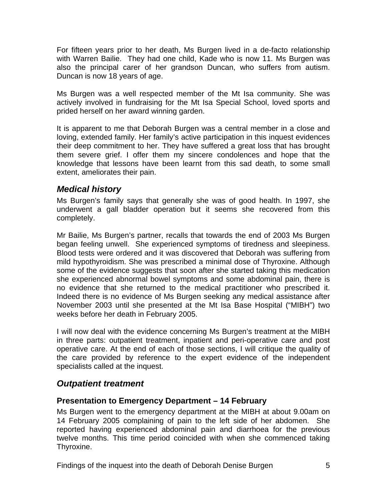<span id="page-6-0"></span>For fifteen years prior to her death, Ms Burgen lived in a de-facto relationship with Warren Bailie. They had one child, Kade who is now 11. Ms Burgen was also the principal carer of her grandson Duncan, who suffers from autism. Duncan is now 18 years of age.

Ms Burgen was a well respected member of the Mt Isa community. She was actively involved in fundraising for the Mt Isa Special School, loved sports and prided herself on her award winning garden.

It is apparent to me that Deborah Burgen was a central member in a close and loving, extended family. Her family's active participation in this inquest evidences their deep commitment to her. They have suffered a great loss that has brought them severe grief. I offer them my sincere condolences and hope that the knowledge that lessons have been learnt from this sad death, to some small extent, ameliorates their pain.

# *Medical history*

Ms Burgen's family says that generally she was of good health. In 1997, she underwent a gall bladder operation but it seems she recovered from this completely.

Mr Bailie, Ms Burgen's partner, recalls that towards the end of 2003 Ms Burgen began feeling unwell. She experienced symptoms of tiredness and sleepiness. Blood tests were ordered and it was discovered that Deborah was suffering from mild hypothyroidism. She was prescribed a minimal dose of Thyroxine. Although some of the evidence suggests that soon after she started taking this medication she experienced abnormal bowel symptoms and some abdominal pain, there is no evidence that she returned to the medical practitioner who prescribed it. Indeed there is no evidence of Ms Burgen seeking any medical assistance after November 2003 until she presented at the Mt Isa Base Hospital ("MIBH") two weeks before her death in February 2005.

I will now deal with the evidence concerning Ms Burgen's treatment at the MIBH in three parts: outpatient treatment, inpatient and peri-operative care and post operative care. At the end of each of those sections, I will critique the quality of the care provided by reference to the expert evidence of the independent specialists called at the inquest.

# *Outpatient treatment*

#### **Presentation to Emergency Department – 14 February**

Ms Burgen went to the emergency department at the MIBH at about 9.00am on 14 February 2005 complaining of pain to the left side of her abdomen. She reported having experienced abdominal pain and diarrhoea for the previous twelve months. This time period coincided with when she commenced taking Thyroxine.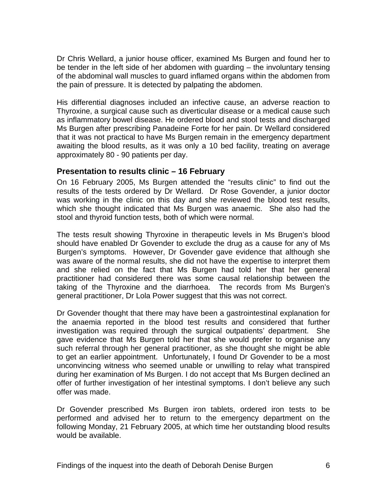<span id="page-7-0"></span>Dr Chris Wellard, a junior house officer, examined Ms Burgen and found her to be tender in the left side of her abdomen with guarding – the involuntary tensing of the abdominal wall muscles to guard inflamed organs within the abdomen from the pain of pressure. It is detected by palpating the abdomen.

His differential diagnoses included an infective cause, an adverse reaction to Thyroxine, a surgical cause such as diverticular disease or a medical cause such as inflammatory bowel disease. He ordered blood and stool tests and discharged Ms Burgen after prescribing Panadeine Forte for her pain. Dr Wellard considered that it was not practical to have Ms Burgen remain in the emergency department awaiting the blood results, as it was only a 10 bed facility, treating on average approximately 80 - 90 patients per day.

#### **Presentation to results clinic – 16 February**

On 16 February 2005, Ms Burgen attended the "results clinic" to find out the results of the tests ordered by Dr Wellard. Dr Rose Govender, a junior doctor was working in the clinic on this day and she reviewed the blood test results, which she thought indicated that Ms Burgen was anaemic. She also had the stool and thyroid function tests, both of which were normal.

The tests result showing Thyroxine in therapeutic levels in Ms Brugen's blood should have enabled Dr Govender to exclude the drug as a cause for any of Ms Burgen's symptoms. However, Dr Govender gave evidence that although she was aware of the normal results, she did not have the expertise to interpret them and she relied on the fact that Ms Burgen had told her that her general practitioner had considered there was some causal relationship between the taking of the Thyroxine and the diarrhoea. The records from Ms Burgen's general practitioner, Dr Lola Power suggest that this was not correct.

Dr Govender thought that there may have been a gastrointestinal explanation for the anaemia reported in the blood test results and considered that further investigation was required through the surgical outpatients' department. She gave evidence that Ms Burgen told her that she would prefer to organise any such referral through her general practitioner, as she thought she might be able to get an earlier appointment. Unfortunately, I found Dr Govender to be a most unconvincing witness who seemed unable or unwilling to relay what transpired during her examination of Ms Burgen. I do not accept that Ms Burgen declined an offer of further investigation of her intestinal symptoms. I don't believe any such offer was made.

Dr Govender prescribed Ms Burgen iron tablets, ordered iron tests to be performed and advised her to return to the emergency department on the following Monday, 21 February 2005, at which time her outstanding blood results would be available.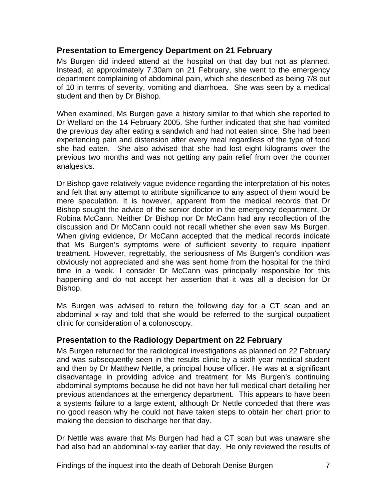#### <span id="page-8-0"></span>**Presentation to Emergency Department on 21 February**

Ms Burgen did indeed attend at the hospital on that day but not as planned. Instead, at approximately 7.30am on 21 February, she went to the emergency department complaining of abdominal pain, which she described as being 7/8 out of 10 in terms of severity, vomiting and diarrhoea. She was seen by a medical student and then by Dr Bishop.

When examined, Ms Burgen gave a history similar to that which she reported to Dr Wellard on the 14 February 2005. She further indicated that she had vomited the previous day after eating a sandwich and had not eaten since. She had been experiencing pain and distension after every meal regardless of the type of food she had eaten. She also advised that she had lost eight kilograms over the previous two months and was not getting any pain relief from over the counter analgesics.

Dr Bishop gave relatively vague evidence regarding the interpretation of his notes and felt that any attempt to attribute significance to any aspect of them would be mere speculation. It is however, apparent from the medical records that Dr Bishop sought the advice of the senior doctor in the emergency department, Dr Robina McCann. Neither Dr Bishop nor Dr McCann had any recollection of the discussion and Dr McCann could not recall whether she even saw Ms Burgen. When giving evidence, Dr McCann accepted that the medical records indicate that Ms Burgen's symptoms were of sufficient severity to require inpatient treatment. However, regrettably, the seriousness of Ms Burgen's condition was obviously not appreciated and she was sent home from the hospital for the third time in a week. I consider Dr McCann was principally responsible for this happening and do not accept her assertion that it was all a decision for Dr Bishop.

Ms Burgen was advised to return the following day for a CT scan and an abdominal x-ray and told that she would be referred to the surgical outpatient clinic for consideration of a colonoscopy.

#### **Presentation to the Radiology Department on 22 February**

Ms Burgen returned for the radiological investigations as planned on 22 February and was subsequently seen in the results clinic by a sixth year medical student and then by Dr Matthew Nettle, a principal house officer. He was at a significant disadvantage in providing advice and treatment for Ms Burgen's continuing abdominal symptoms because he did not have her full medical chart detailing her previous attendances at the emergency department. This appears to have been a systems failure to a large extent, although Dr Nettle conceded that there was no good reason why he could not have taken steps to obtain her chart prior to making the decision to discharge her that day.

Dr Nettle was aware that Ms Burgen had had a CT scan but was unaware she had also had an abdominal x-ray earlier that day. He only reviewed the results of

Findings of the inquest into the death of Deborah Denise Burgen 7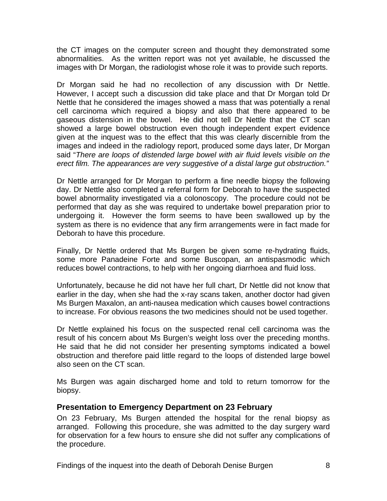<span id="page-9-0"></span>the CT images on the computer screen and thought they demonstrated some abnormalities. As the written report was not yet available, he discussed the images with Dr Morgan, the radiologist whose role it was to provide such reports.

Dr Morgan said he had no recollection of any discussion with Dr Nettle. However, I accept such a discussion did take place and that Dr Morgan told Dr Nettle that he considered the images showed a mass that was potentially a renal cell carcinoma which required a biopsy and also that there appeared to be gaseous distension in the bowel. He did not tell Dr Nettle that the CT scan showed a large bowel obstruction even though independent expert evidence given at the inquest was to the effect that this was clearly discernible from the images and indeed in the radiology report, produced some days later, Dr Morgan said "*There are loops of distended large bowel with air fluid levels visible on the erect film. The appearances are very suggestive of a distal large gut obstruction."* 

Dr Nettle arranged for Dr Morgan to perform a fine needle biopsy the following day. Dr Nettle also completed a referral form for Deborah to have the suspected bowel abnormality investigated via a colonoscopy. The procedure could not be performed that day as she was required to undertake bowel preparation prior to undergoing it. However the form seems to have been swallowed up by the system as there is no evidence that any firm arrangements were in fact made for Deborah to have this procedure.

Finally, Dr Nettle ordered that Ms Burgen be given some re-hydrating fluids, some more Panadeine Forte and some Buscopan, an antispasmodic which reduces bowel contractions, to help with her ongoing diarrhoea and fluid loss.

Unfortunately, because he did not have her full chart, Dr Nettle did not know that earlier in the day, when she had the x-ray scans taken, another doctor had given Ms Burgen Maxalon, an anti-nausea medication which causes bowel contractions to increase. For obvious reasons the two medicines should not be used together.

Dr Nettle explained his focus on the suspected renal cell carcinoma was the result of his concern about Ms Burgen's weight loss over the preceding months. He said that he did not consider her presenting symptoms indicated a bowel obstruction and therefore paid little regard to the loops of distended large bowel also seen on the CT scan.

Ms Burgen was again discharged home and told to return tomorrow for the biopsy.

#### **Presentation to Emergency Department on 23 February**

On 23 February, Ms Burgen attended the hospital for the renal biopsy as arranged. Following this procedure, she was admitted to the day surgery ward for observation for a few hours to ensure she did not suffer any complications of the procedure.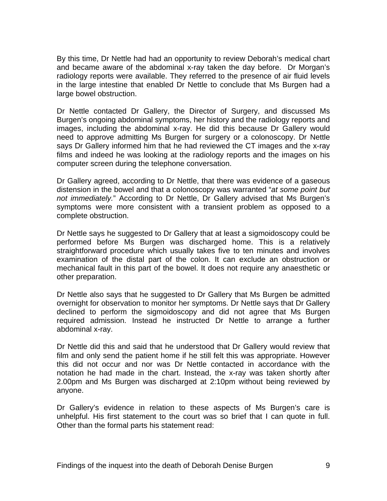By this time, Dr Nettle had had an opportunity to review Deborah's medical chart and became aware of the abdominal x-ray taken the day before. Dr Morgan's radiology reports were available. They referred to the presence of air fluid levels in the large intestine that enabled Dr Nettle to conclude that Ms Burgen had a large bowel obstruction.

Dr Nettle contacted Dr Gallery, the Director of Surgery, and discussed Ms Burgen's ongoing abdominal symptoms, her history and the radiology reports and images, including the abdominal x-ray. He did this because Dr Gallery would need to approve admitting Ms Burgen for surgery or a colonoscopy. Dr Nettle says Dr Gallery informed him that he had reviewed the CT images and the x-ray films and indeed he was looking at the radiology reports and the images on his computer screen during the telephone conversation.

Dr Gallery agreed, according to Dr Nettle, that there was evidence of a gaseous distension in the bowel and that a colonoscopy was warranted "*at some point but not immediately.*" According to Dr Nettle, Dr Gallery advised that Ms Burgen's symptoms were more consistent with a transient problem as opposed to a complete obstruction.

Dr Nettle says he suggested to Dr Gallery that at least a sigmoidoscopy could be performed before Ms Burgen was discharged home. This is a relatively straightforward procedure which usually takes five to ten minutes and involves examination of the distal part of the colon. It can exclude an obstruction or mechanical fault in this part of the bowel. It does not require any anaesthetic or other preparation.

Dr Nettle also says that he suggested to Dr Gallery that Ms Burgen be admitted overnight for observation to monitor her symptoms. Dr Nettle says that Dr Gallery declined to perform the sigmoidoscopy and did not agree that Ms Burgen required admission. Instead he instructed Dr Nettle to arrange a further abdominal x-ray.

Dr Nettle did this and said that he understood that Dr Gallery would review that film and only send the patient home if he still felt this was appropriate. However this did not occur and nor was Dr Nettle contacted in accordance with the notation he had made in the chart. Instead, the x-ray was taken shortly after 2.00pm and Ms Burgen was discharged at 2:10pm without being reviewed by anyone.

Dr Gallery's evidence in relation to these aspects of Ms Burgen's care is unhelpful. His first statement to the court was so brief that I can quote in full. Other than the formal parts his statement read: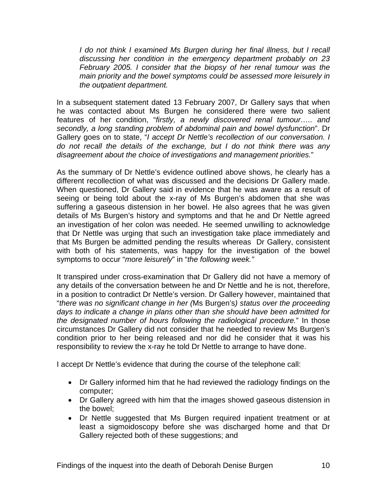*I* do not think I examined Ms Burgen during her final illness, but I recall *discussing her condition in the emergency department probably on 23 February 2005. I consider that the biopsy of her renal tumour was the main priority and the bowel symptoms could be assessed more leisurely in the outpatient department.*

In a subsequent statement dated 13 February 2007, Dr Gallery says that when he was contacted about Ms Burgen he considered there were two salient features of her condition, "*firstly, a newly discovered renal tumour….. and secondly, a long standing problem of abdominal pain and bowel dysfunction*". Dr Gallery goes on to state, "*I accept Dr Nettle's recollection of our conversation. I do not recall the details of the exchange, but I do not think there was any disagreement about the choice of investigations and management priorities.*"

As the summary of Dr Nettle's evidence outlined above shows, he clearly has a different recollection of what was discussed and the decisions Dr Gallery made. When questioned, Dr Gallery said in evidence that he was aware as a result of seeing or being told about the x-ray of Ms Burgen's abdomen that she was suffering a gaseous distension in her bowel. He also agrees that he was given details of Ms Burgen's history and symptoms and that he and Dr Nettle agreed an investigation of her colon was needed. He seemed unwilling to acknowledge that Dr Nettle was urging that such an investigation take place immediately and that Ms Burgen be admitted pending the results whereas Dr Gallery, consistent with both of his statements, was happy for the investigation of the bowel symptoms to occur "*more leisurely*" in "*the following week."*

It transpired under cross-examination that Dr Gallery did not have a memory of any details of the conversation between he and Dr Nettle and he is not, therefore, in a position to contradict Dr Nettle's version. Dr Gallery however, maintained that "*there was no significant change in her (*Ms Burgen's*) status over the proceeding days to indicate a change in plans other than she should have been admitted for the designated number of hours following the radiological procedure.*" In those circumstances Dr Gallery did not consider that he needed to review Ms Burgen's condition prior to her being released and nor did he consider that it was his responsibility to review the x-ray he told Dr Nettle to arrange to have done.

I accept Dr Nettle's evidence that during the course of the telephone call:

- Dr Gallery informed him that he had reviewed the radiology findings on the computer;
- Dr Gallery agreed with him that the images showed gaseous distension in the bowel;
- Dr Nettle suggested that Ms Burgen required inpatient treatment or at least a sigmoidoscopy before she was discharged home and that Dr Gallery rejected both of these suggestions; and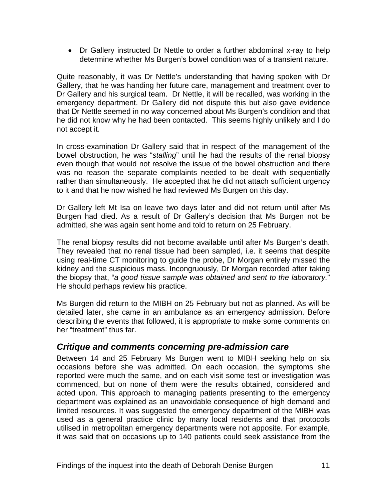<span id="page-12-0"></span>• Dr Gallery instructed Dr Nettle to order a further abdominal x-ray to help determine whether Ms Burgen's bowel condition was of a transient nature.

Quite reasonably, it was Dr Nettle's understanding that having spoken with Dr Gallery, that he was handing her future care, management and treatment over to Dr Gallery and his surgical team. Dr Nettle, it will be recalled, was working in the emergency department. Dr Gallery did not dispute this but also gave evidence that Dr Nettle seemed in no way concerned about Ms Burgen's condition and that he did not know why he had been contacted. This seems highly unlikely and I do not accept it.

In cross-examination Dr Gallery said that in respect of the management of the bowel obstruction, he was "*stalling*" until he had the results of the renal biopsy even though that would not resolve the issue of the bowel obstruction and there was no reason the separate complaints needed to be dealt with sequentially rather than simultaneously. He accepted that he did not attach sufficient urgency to it and that he now wished he had reviewed Ms Burgen on this day.

Dr Gallery left Mt Isa on leave two days later and did not return until after Ms Burgen had died. As a result of Dr Gallery's decision that Ms Burgen not be admitted, she was again sent home and told to return on 25 February.

The renal biopsy results did not become available until after Ms Burgen's death. They revealed that no renal tissue had been sampled, i.e. it seems that despite using real-time CT monitoring to guide the probe, Dr Morgan entirely missed the kidney and the suspicious mass. Incongruously, Dr Morgan recorded after taking the biopsy that, "*a good tissue sample was obtained and sent to the laboratory.*" He should perhaps review his practice.

Ms Burgen did return to the MIBH on 25 February but not as planned. As will be detailed later, she came in an ambulance as an emergency admission. Before describing the events that followed, it is appropriate to make some comments on her "treatment" thus far.

# *Critique and comments concerning pre-admission care*

Between 14 and 25 February Ms Burgen went to MIBH seeking help on six occasions before she was admitted. On each occasion, the symptoms she reported were much the same, and on each visit some test or investigation was commenced, but on none of them were the results obtained, considered and acted upon. This approach to managing patients presenting to the emergency department was explained as an unavoidable consequence of high demand and limited resources. It was suggested the emergency department of the MIBH was used as a general practice clinic by many local residents and that protocols utilised in metropolitan emergency departments were not apposite. For example, it was said that on occasions up to 140 patients could seek assistance from the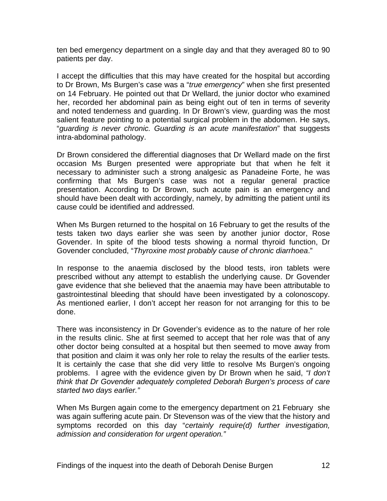ten bed emergency department on a single day and that they averaged 80 to 90 patients per day.

I accept the difficulties that this may have created for the hospital but according to Dr Brown, Ms Burgen's case was a "*true emergency*" when she first presented on 14 February. He pointed out that Dr Wellard, the junior doctor who examined her, recorded her abdominal pain as being eight out of ten in terms of severity and noted tenderness and guarding. In Dr Brown's view, guarding was the most salient feature pointing to a potential surgical problem in the abdomen. He says, "*guarding is never chronic. Guarding is an acute manifestation*" that suggests intra-abdominal pathology.

Dr Brown considered the differential diagnoses that Dr Wellard made on the first occasion Ms Burgen presented were appropriate but that when he felt it necessary to administer such a strong analgesic as Panadeine Forte, he was confirming that Ms Burgen's case was not a regular general practice presentation. According to Dr Brown, such acute pain is an emergency and should have been dealt with accordingly, namely, by admitting the patient until its cause could be identified and addressed.

When Ms Burgen returned to the hospital on 16 February to get the results of the tests taken two days earlier she was seen by another junior doctor, Rose Govender. In spite of the blood tests showing a normal thyroid function, Dr Govender concluded, "*Thyroxine most probably cause of chronic diarrhoea*."

In response to the anaemia disclosed by the blood tests, iron tablets were prescribed without any attempt to establish the underlying cause. Dr Govender gave evidence that she believed that the anaemia may have been attributable to gastrointestinal bleeding that should have been investigated by a colonoscopy. As mentioned earlier, I don't accept her reason for not arranging for this to be done.

There was inconsistency in Dr Govender's evidence as to the nature of her role in the results clinic. She at first seemed to accept that her role was that of any other doctor being consulted at a hospital but then seemed to move away from that position and claim it was only her role to relay the results of the earlier tests. It is certainly the case that she did very little to resolve Ms Burgen's ongoing problems. I agree with the evidence given by Dr Brown when he said, *"I don't think that Dr Govender adequately completed Deborah Burgen's process of care started two days earlier."* 

When Ms Burgen again come to the emergency department on 21 February she was again suffering acute pain. Dr Stevenson was of the view that the history and symptoms recorded on this day "*certainly require(d) further investigation, admission and consideration for urgent operation."*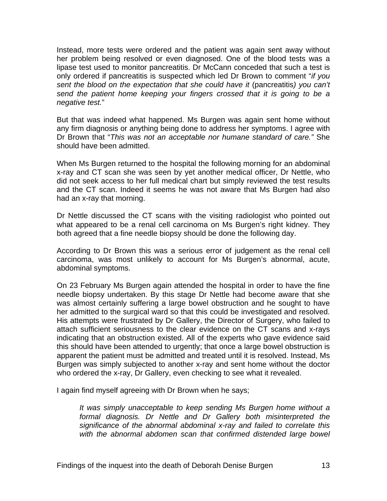Instead, more tests were ordered and the patient was again sent away without her problem being resolved or even diagnosed. One of the blood tests was a lipase test used to monitor pancreatitis. Dr McCann conceded that such a test is only ordered if pancreatitis is suspected which led Dr Brown to comment "*if you sent the blood on the expectation that she could have it* (pancreatitis*) you can't send the patient home keeping your fingers crossed that it is going to be a negative test.*"

But that was indeed what happened. Ms Burgen was again sent home without any firm diagnosis or anything being done to address her symptoms. I agree with Dr Brown that "*This was not an acceptable nor humane standard of care."* She should have been admitted.

When Ms Burgen returned to the hospital the following morning for an abdominal x-ray and CT scan she was seen by yet another medical officer, Dr Nettle, who did not seek access to her full medical chart but simply reviewed the test results and the CT scan. Indeed it seems he was not aware that Ms Burgen had also had an x-ray that morning.

Dr Nettle discussed the CT scans with the visiting radiologist who pointed out what appeared to be a renal cell carcinoma on Ms Burgen's right kidney. They both agreed that a fine needle biopsy should be done the following day.

According to Dr Brown this was a serious error of judgement as the renal cell carcinoma, was most unlikely to account for Ms Burgen's abnormal, acute, abdominal symptoms.

On 23 February Ms Burgen again attended the hospital in order to have the fine needle biopsy undertaken. By this stage Dr Nettle had become aware that she was almost certainly suffering a large bowel obstruction and he sought to have her admitted to the surgical ward so that this could be investigated and resolved. His attempts were frustrated by Dr Gallery, the Director of Surgery, who failed to attach sufficient seriousness to the clear evidence on the CT scans and x-rays indicating that an obstruction existed. All of the experts who gave evidence said this should have been attended to urgently; that once a large bowel obstruction is apparent the patient must be admitted and treated until it is resolved. Instead, Ms Burgen was simply subjected to another x-ray and sent home without the doctor who ordered the x-ray, Dr Gallery, even checking to see what it revealed.

I again find myself agreeing with Dr Brown when he says;

*It was simply unacceptable to keep sending Ms Burgen home without a formal diagnosis. Dr Nettle and Dr Gallery both misinterpreted the significance of the abnormal abdominal x-ray and failed to correlate this with the abnormal abdomen scan that confirmed distended large bowel*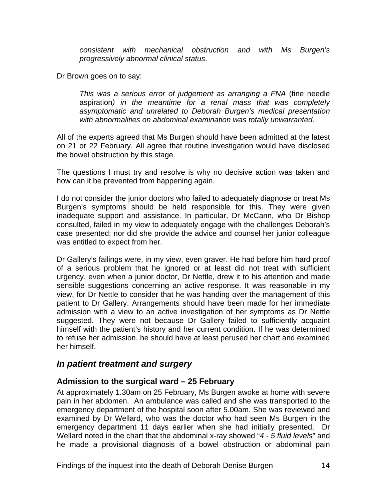<span id="page-15-0"></span>*consistent with mechanical obstruction and with Ms Burgen's progressively abnormal clinical status*.

Dr Brown goes on to say:

*This was a serious error of judgement as arranging a FNA* (fine needle aspiration*) in the meantime for a renal mass that was completely asymptomatic and unrelated to Deborah Burgen's medical presentation with abnormalities on abdominal examination was totally unwarranted.*

All of the experts agreed that Ms Burgen should have been admitted at the latest on 21 or 22 February. All agree that routine investigation would have disclosed the bowel obstruction by this stage.

The questions I must try and resolve is why no decisive action was taken and how can it be prevented from happening again.

I do not consider the junior doctors who failed to adequately diagnose or treat Ms Burgen's symptoms should be held responsible for this. They were given inadequate support and assistance. In particular, Dr McCann, who Dr Bishop consulted, failed in my view to adequately engage with the challenges Deborah's case presented; nor did she provide the advice and counsel her junior colleague was entitled to expect from her.

Dr Gallery's failings were, in my view, even graver. He had before him hard proof of a serious problem that he ignored or at least did not treat with sufficient urgency, even when a junior doctor, Dr Nettle, drew it to his attention and made sensible suggestions concerning an active response. It was reasonable in my view, for Dr Nettle to consider that he was handing over the management of this patient to Dr Gallery. Arrangements should have been made for her immediate admission with a view to an active investigation of her symptoms as Dr Nettle suggested. They were not because Dr Gallery failed to sufficiently acquaint himself with the patient's history and her current condition. If he was determined to refuse her admission, he should have at least perused her chart and examined her himself.

#### *In patient treatment and surgery*

#### **Admission to the surgical ward – 25 February**

At approximately 1.30am on 25 February, Ms Burgen awoke at home with severe pain in her abdomen. An ambulance was called and she was transported to the emergency department of the hospital soon after 5.00am. She was reviewed and examined by Dr Wellard, who was the doctor who had seen Ms Burgen in the emergency department 11 days earlier when she had initially presented. Dr Wellard noted in the chart that the abdominal x-ray showed "*4 - 5 fluid levels*" and he made a provisional diagnosis of a bowel obstruction or abdominal pain

Findings of the inquest into the death of Deborah Denise Burgen 14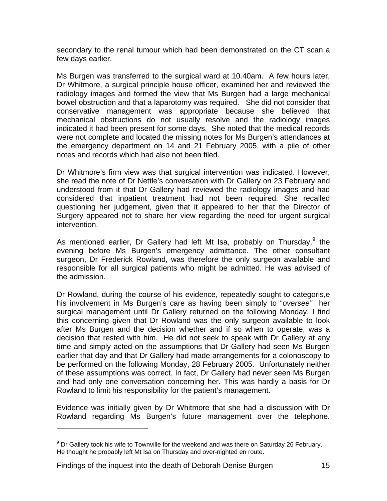secondary to the renal tumour which had been demonstrated on the CT scan a few days earlier.

Ms Burgen was transferred to the surgical ward at 10.40am. A few hours later, Dr Whitmore, a surgical principle house officer, examined her and reviewed the radiology images and formed the view that Ms Burgen had a large mechanical bowel obstruction and that a laparotomy was required. She did not consider that conservative management was appropriate because she believed that mechanical obstructions do not usually resolve and the radiology images indicated it had been present for some days. She noted that the medical records were not complete and located the missing notes for Ms Burgen's attendances at the emergency department on 14 and 21 February 2005, with a pile of other notes and records which had also not been filed.

Dr Whitmore's firm view was that surgical intervention was indicated. However, she read the note of Dr Nettle's conversation with Dr Gallery on 23 February and understood from it that Dr Gallery had reviewed the radiology images and had considered that inpatient treatment had not been required. She recalled questioning her judgement, given that it appeared to her that the Director of Surgery appeared not to share her view regarding the need for urgent surgical intervention.

As mentioned earlier, Dr Gallery had left Mt Isa, probably on Thursday,<sup>[9](#page-16-0)</sup> the evening before Ms Burgen's emergency admittance. The other consultant surgeon, Dr Frederick Rowland, was therefore the only surgeon available and responsible for all surgical patients who might be admitted. He was advised of the admission.

Dr Rowland, during the course of his evidence, repeatedly sought to categoris,e his involvement in Ms Burgen's care as having been simply to "*oversee"* her surgical management until Dr Gallery returned on the following Monday. I find this concerning given that Dr Rowland was the only surgeon available to look after Ms Burgen and the decision whether and if so when to operate, was a decision that rested with him. He did not seek to speak with Dr Gallery at any time and simply acted on the assumptions that Dr Gallery had seen Ms Burgen earlier that day and that Dr Gallery had made arrangements for a colonoscopy to be performed on the following Monday, 28 February 2005. Unfortunately neither of these assumptions was correct. In fact, Dr Gallery had never seen Ms Burgen and had only one conversation concerning her. This was hardly a basis for Dr Rowland to limit his responsibility for the patient's management.

Evidence was initially given by Dr Whitmore that she had a discussion with Dr Rowland regarding Ms Burgen's future management over the telephone.

Findings of the inquest into the death of Deborah Denise Burgen 15

l

<span id="page-16-0"></span><sup>&</sup>lt;sup>9</sup> Dr Gallery took his wife to Townville for the weekend and was there on Saturday 26 February. He thought he probably left Mt Isa on Thursday and over-nighted en route.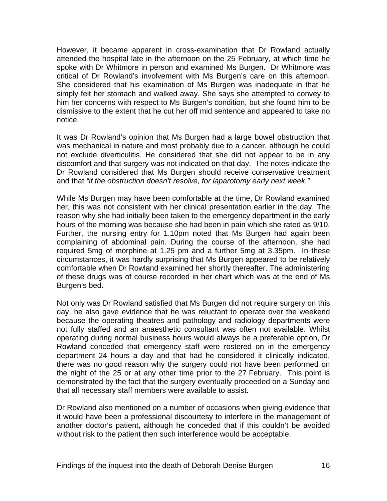However, it became apparent in cross-examination that Dr Rowland actually attended the hospital late in the afternoon on the 25 February, at which time he spoke with Dr Whitmore in person and examined Ms Burgen. Dr Whitmore was critical of Dr Rowland's involvement with Ms Burgen's care on this afternoon. She considered that his examination of Ms Burgen was inadequate in that he simply felt her stomach and walked away. She says she attempted to convey to him her concerns with respect to Ms Burgen's condition, but she found him to be dismissive to the extent that he cut her off mid sentence and appeared to take no notice.

It was Dr Rowland's opinion that Ms Burgen had a large bowel obstruction that was mechanical in nature and most probably due to a cancer, although he could not exclude diverticulitis. He considered that she did not appear to be in any discomfort and that surgery was not indicated on that day. The notes indicate the Dr Rowland considered that Ms Burgen should receive conservative treatment and that *"if the obstruction doesn't resolve, for laparotomy early next week."* 

While Ms Burgen may have been comfortable at the time, Dr Rowland examined her, this was not consistent with her clinical presentation earlier in the day. The reason why she had initially been taken to the emergency department in the early hours of the morning was because she had been in pain which she rated as 9/10. Further, the nursing entry for 1.10pm noted that Ms Burgen had again been complaining of abdominal pain. During the course of the afternoon, she had required 5mg of morphine at 1.25 pm and a further 5mg at 3.35pm. In these circumstances, it was hardly surprising that Ms Burgen appeared to be relatively comfortable when Dr Rowland examined her shortly thereafter. The administering of these drugs was of course recorded in her chart which was at the end of Ms Burgen's bed.

Not only was Dr Rowland satisfied that Ms Burgen did not require surgery on this day, he also gave evidence that he was reluctant to operate over the weekend because the operating theatres and pathology and radiology departments were not fully staffed and an anaesthetic consultant was often not available. Whilst operating during normal business hours would always be a preferable option, Dr Rowland conceded that emergency staff were rostered on in the emergency department 24 hours a day and that had he considered it clinically indicated, there was no good reason why the surgery could not have been performed on the night of the 25 or at any other time prior to the 27 February. This point is demonstrated by the fact that the surgery eventually proceeded on a Sunday and that all necessary staff members were available to assist.

Dr Rowland also mentioned on a number of occasions when giving evidence that it would have been a professional discourtesy to interfere in the management of another doctor's patient, although he conceded that if this couldn't be avoided without risk to the patient then such interference would be acceptable.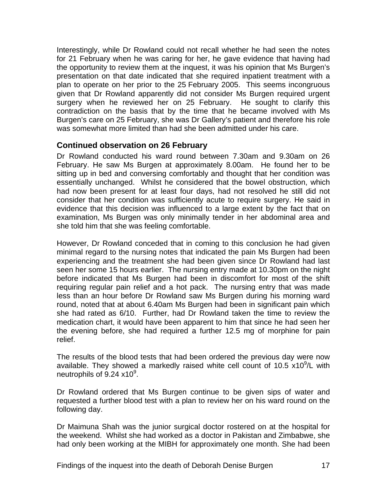<span id="page-18-0"></span>Interestingly, while Dr Rowland could not recall whether he had seen the notes for 21 February when he was caring for her, he gave evidence that having had the opportunity to review them at the inquest, it was his opinion that Ms Burgen's presentation on that date indicated that she required inpatient treatment with a plan to operate on her prior to the 25 February 2005. This seems incongruous given that Dr Rowland apparently did not consider Ms Burgen required urgent surgery when he reviewed her on 25 February. He sought to clarify this contradiction on the basis that by the time that he became involved with Ms Burgen's care on 25 February, she was Dr Gallery's patient and therefore his role was somewhat more limited than had she been admitted under his care.

#### **Continued observation on 26 February**

Dr Rowland conducted his ward round between 7.30am and 9.30am on 26 February. He saw Ms Burgen at approximately 8.00am. He found her to be sitting up in bed and conversing comfortably and thought that her condition was essentially unchanged. Whilst he considered that the bowel obstruction, which had now been present for at least four days, had not resolved he still did not consider that her condition was sufficiently acute to require surgery. He said in evidence that this decision was influenced to a large extent by the fact that on examination, Ms Burgen was only minimally tender in her abdominal area and she told him that she was feeling comfortable.

However, Dr Rowland conceded that in coming to this conclusion he had given minimal regard to the nursing notes that indicated the pain Ms Burgen had been experiencing and the treatment she had been given since Dr Rowland had last seen her some 15 hours earlier. The nursing entry made at 10.30pm on the night before indicated that Ms Burgen had been in discomfort for most of the shift requiring regular pain relief and a hot pack. The nursing entry that was made less than an hour before Dr Rowland saw Ms Burgen during his morning ward round, noted that at about 6.40am Ms Burgen had been in significant pain which she had rated as 6/10. Further, had Dr Rowland taken the time to review the medication chart, it would have been apparent to him that since he had seen her the evening before, she had required a further 12.5 mg of morphine for pain relief.

The results of the blood tests that had been ordered the previous day were now available. They showed a markedly raised white cell count of 10.5  $x10^9$ /L with neutrophils of  $9.24 \times 10^9$ .

Dr Rowland ordered that Ms Burgen continue to be given sips of water and requested a further blood test with a plan to review her on his ward round on the following day.

Dr Maimuna Shah was the junior surgical doctor rostered on at the hospital for the weekend. Whilst she had worked as a doctor in Pakistan and Zimbabwe, she had only been working at the MIBH for approximately one month. She had been

Findings of the inquest into the death of Deborah Denise Burgen 17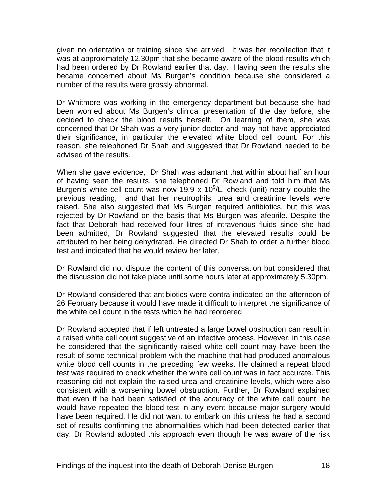given no orientation or training since she arrived. It was her recollection that it was at approximately 12.30pm that she became aware of the blood results which had been ordered by Dr Rowland earlier that day. Having seen the results she became concerned about Ms Burgen's condition because she considered a number of the results were grossly abnormal.

Dr Whitmore was working in the emergency department but because she had been worried about Ms Burgen's clinical presentation of the day before, she decided to check the blood results herself. On learning of them, she was concerned that Dr Shah was a very junior doctor and may not have appreciated their significance, in particular the elevated white blood cell count. For this reason, she telephoned Dr Shah and suggested that Dr Rowland needed to be advised of the results.

When she gave evidence, Dr Shah was adamant that within about half an hour of having seen the results, she telephoned Dr Rowland and told him that Ms Burgen's white cell count was now 19.9 x 10 $^9$ /L, check (unit) nearly double the previous reading, and that her neutrophils, urea and creatinine levels were raised. She also suggested that Ms Burgen required antibiotics, but this was rejected by Dr Rowland on the basis that Ms Burgen was afebrile. Despite the fact that Deborah had received four litres of intravenous fluids since she had been admitted, Dr Rowland suggested that the elevated results could be attributed to her being dehydrated. He directed Dr Shah to order a further blood test and indicated that he would review her later.

Dr Rowland did not dispute the content of this conversation but considered that the discussion did not take place until some hours later at approximately 5.30pm.

Dr Rowland considered that antibiotics were contra-indicated on the afternoon of 26 February because it would have made it difficult to interpret the significance of the white cell count in the tests which he had reordered.

Dr Rowland accepted that if left untreated a large bowel obstruction can result in a raised white cell count suggestive of an infective process. However, in this case he considered that the significantly raised white cell count may have been the result of some technical problem with the machine that had produced anomalous white blood cell counts in the preceding few weeks. He claimed a repeat blood test was required to check whether the white cell count was in fact accurate. This reasoning did not explain the raised urea and creatinine levels, which were also consistent with a worsening bowel obstruction. Further, Dr Rowland explained that even if he had been satisfied of the accuracy of the white cell count, he would have repeated the blood test in any event because major surgery would have been required. He did not want to embark on this unless he had a second set of results confirming the abnormalities which had been detected earlier that day. Dr Rowland adopted this approach even though he was aware of the risk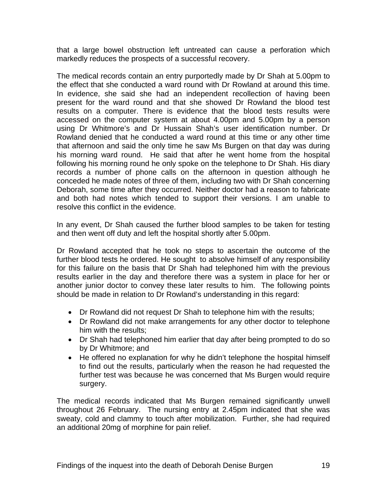that a large bowel obstruction left untreated can cause a perforation which markedly reduces the prospects of a successful recovery.

The medical records contain an entry purportedly made by Dr Shah at 5.00pm to the effect that she conducted a ward round with Dr Rowland at around this time. In evidence, she said she had an independent recollection of having been present for the ward round and that she showed Dr Rowland the blood test results on a computer. There is evidence that the blood tests results were accessed on the computer system at about 4.00pm and 5.00pm by a person using Dr Whitmore's and Dr Hussain Shah's user identification number. Dr Rowland denied that he conducted a ward round at this time or any other time that afternoon and said the only time he saw Ms Burgen on that day was during his morning ward round. He said that after he went home from the hospital following his morning round he only spoke on the telephone to Dr Shah. His diary records a number of phone calls on the afternoon in question although he conceded he made notes of three of them, including two with Dr Shah concerning Deborah, some time after they occurred. Neither doctor had a reason to fabricate and both had notes which tended to support their versions. I am unable to resolve this conflict in the evidence.

In any event, Dr Shah caused the further blood samples to be taken for testing and then went off duty and left the hospital shortly after 5.00pm.

Dr Rowland accepted that he took no steps to ascertain the outcome of the further blood tests he ordered. He sought to absolve himself of any responsibility for this failure on the basis that Dr Shah had telephoned him with the previous results earlier in the day and therefore there was a system in place for her or another junior doctor to convey these later results to him. The following points should be made in relation to Dr Rowland's understanding in this regard:

- Dr Rowland did not request Dr Shah to telephone him with the results;
- Dr Rowland did not make arrangements for any other doctor to telephone him with the results;
- Dr Shah had telephoned him earlier that day after being prompted to do so by Dr Whitmore; and
- He offered no explanation for why he didn't telephone the hospital himself to find out the results, particularly when the reason he had requested the further test was because he was concerned that Ms Burgen would require surgery.

The medical records indicated that Ms Burgen remained significantly unwell throughout 26 February. The nursing entry at 2.45pm indicated that she was sweaty, cold and clammy to touch after mobilization. Further, she had required an additional 20mg of morphine for pain relief.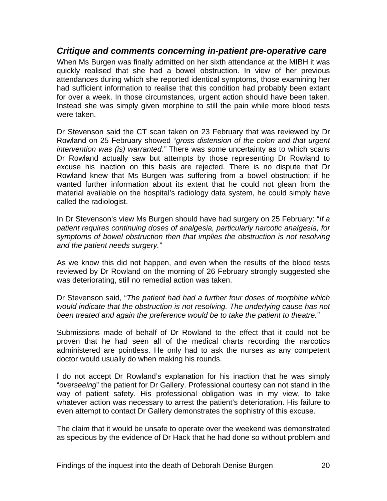#### <span id="page-21-0"></span>*Critique and comments concerning in-patient pre-operative care*

When Ms Burgen was finally admitted on her sixth attendance at the MIBH it was quickly realised that she had a bowel obstruction. In view of her previous attendances during which she reported identical symptoms, those examining her had sufficient information to realise that this condition had probably been extant for over a week. In those circumstances, urgent action should have been taken. Instead she was simply given morphine to still the pain while more blood tests were taken.

Dr Stevenson said the CT scan taken on 23 February that was reviewed by Dr Rowland on 25 February showed "*gross distension of the colon and that urgent intervention was (is) warranted."* There was some uncertainty as to which scans Dr Rowland actually saw but attempts by those representing Dr Rowland to excuse his inaction on this basis are rejected. There is no dispute that Dr Rowland knew that Ms Burgen was suffering from a bowel obstruction; if he wanted further information about its extent that he could not glean from the material available on the hospital's radiology data system, he could simply have called the radiologist.

In Dr Stevenson's view Ms Burgen should have had surgery on 25 February: "*If a patient requires continuing doses of analgesia, particularly narcotic analgesia, for symptoms of bowel obstruction then that implies the obstruction is not resolving and the patient needs surgery."* 

As we know this did not happen, and even when the results of the blood tests reviewed by Dr Rowland on the morning of 26 February strongly suggested she was deteriorating, still no remedial action was taken.

Dr Stevenson said, "*The patient had had a further four doses of morphine which would indicate that the obstruction is not resolving. The underlying cause has not been treated and again the preference would be to take the patient to theatre."* 

Submissions made of behalf of Dr Rowland to the effect that it could not be proven that he had seen all of the medical charts recording the narcotics administered are pointless. He only had to ask the nurses as any competent doctor would usually do when making his rounds.

I do not accept Dr Rowland's explanation for his inaction that he was simply "*overseeing*" the patient for Dr Gallery. Professional courtesy can not stand in the way of patient safety. His professional obligation was in my view, to take whatever action was necessary to arrest the patient's deterioration. His failure to even attempt to contact Dr Gallery demonstrates the sophistry of this excuse.

The claim that it would be unsafe to operate over the weekend was demonstrated as specious by the evidence of Dr Hack that he had done so without problem and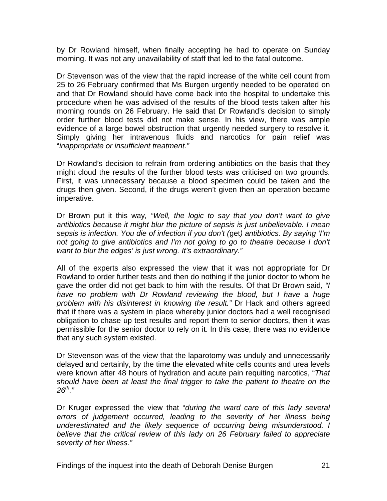by Dr Rowland himself, when finally accepting he had to operate on Sunday morning. It was not any unavailability of staff that led to the fatal outcome.

Dr Stevenson was of the view that the rapid increase of the white cell count from 25 to 26 February confirmed that Ms Burgen urgently needed to be operated on and that Dr Rowland should have come back into the hospital to undertake this procedure when he was advised of the results of the blood tests taken after his morning rounds on 26 February. He said that Dr Rowland's decision to simply order further blood tests did not make sense. In his view, there was ample evidence of a large bowel obstruction that urgently needed surgery to resolve it. Simply giving her intravenous fluids and narcotics for pain relief was "*inappropriate or insufficient treatment."* 

Dr Rowland's decision to refrain from ordering antibiotics on the basis that they might cloud the results of the further blood tests was criticised on two grounds. First, it was unnecessary because a blood specimen could be taken and the drugs then given. Second, if the drugs weren't given then an operation became imperative.

Dr Brown put it this way*, "Well, the logic to say that you don't want to give antibiotics because it might blur the picture of sepsis is just unbelievable. I mean sepsis is infection. You die of infection if you don't (*get*) antibiotics. By saying 'I'm not going to give antibiotics and I'm not going to go to theatre because I don't want to blur the edges' is just wrong. It's extraordinary."* 

All of the experts also expressed the view that it was not appropriate for Dr Rowland to order further tests and then do nothing if the junior doctor to whom he gave the order did not get back to him with the results. Of that Dr Brown said*, "I have no problem with Dr Rowland reviewing the blood, but I have a huge problem with his disinterest in knowing the result."* Dr Hack and others agreed that if there was a system in place whereby junior doctors had a well recognised obligation to chase up test results and report them to senior doctors, then it was permissible for the senior doctor to rely on it. In this case, there was no evidence that any such system existed.

Dr Stevenson was of the view that the laparotomy was unduly and unnecessarily delayed and certainly, by the time the elevated white cells counts and urea levels were known after 48 hours of hydration and acute pain requiting narcotics, "*That should have been at least the final trigger to take the patient to theatre on the 26th."* 

Dr Kruger expressed the view that "*during the ward care of this lady several errors of judgement occurred, leading to the severity of her illness being underestimated and the likely sequence of occurring being misunderstood. I believe that the critical review of this lady on 26 February failed to appreciate severity of her illness."*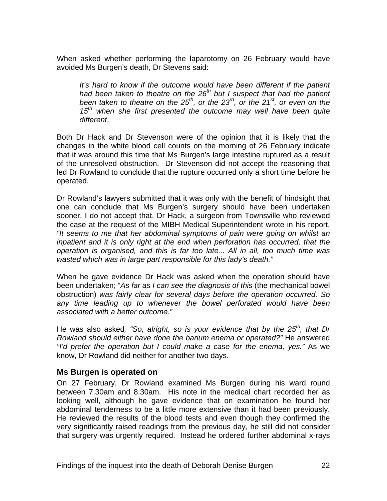<span id="page-23-0"></span>When asked whether performing the laparotomy on 26 February would have avoided Ms Burgen's death, Dr Stevens said:

It's hard to know if the outcome would have been different if the patient *had been taken to theatre on the 26th but I suspect that had the patient been taken to theatre on the 25<sup>th</sup>, or the 23<sup>rd</sup>, or the 21<sup>st</sup>, or even on the 15th when she first presented the outcome may well have been quite different*.

Both Dr Hack and Dr Stevenson were of the opinion that it is likely that the changes in the white blood cell counts on the morning of 26 February indicate that it was around this time that Ms Burgen's large intestine ruptured as a result of the unresolved obstruction. Dr Stevenson did not accept the reasoning that led Dr Rowland to conclude that the rupture occurred only a short time before he operated.

Dr Rowland's lawyers submitted that it was only with the benefit of hindsight that one can conclude that Ms Burgen's surgery should have been undertaken sooner. I do not accept that. Dr Hack, a surgeon from Townsville who reviewed the case at the request of the MIBH Medical Superintendent wrote in his report, *"It seems to me that her abdominal symptoms of pain were going on whilst an inpatient and it is only right at the end when perforation has occurred, that the operation is organised, and this is far too late... All in all, too much time was wasted which was in large part responsible for this lady's death."*

When he gave evidence Dr Hack was asked when the operation should have been undertaken; "*As far as I can see the diagnosis of this* (the mechanical bowel obstruction) *was fairly clear for several days before the operation occurred. So any time leading up to whenever the bowel perforated would have been associated with a better outcome."* 

He was also asked, "So, alright, so is your evidence that by the 25<sup>th</sup>, that Dr *Rowland should either have done the barium enema or operated?"* He answered *"I'd prefer the operation but I could make a case for the enema, yes."* As we know, Dr Rowland did neither for another two days.

#### **Ms Burgen is operated on**

On 27 February, Dr Rowland examined Ms Burgen during his ward round between 7.30am and 8.30am. His note in the medical chart recorded her as looking well, although he gave evidence that on examination he found her abdominal tenderness to be a little more extensive than it had been previously. He reviewed the results of the blood tests and even though they confirmed the very significantly raised readings from the previous day, he still did not consider that surgery was urgently required. Instead he ordered further abdominal x-rays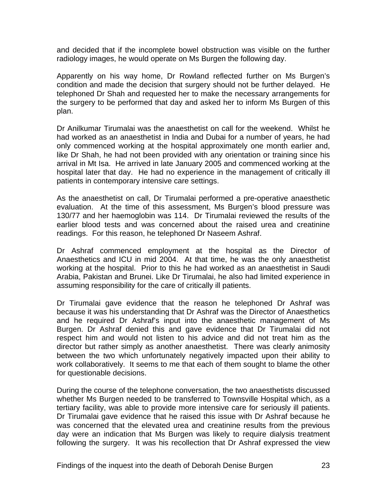and decided that if the incomplete bowel obstruction was visible on the further radiology images, he would operate on Ms Burgen the following day.

Apparently on his way home, Dr Rowland reflected further on Ms Burgen's condition and made the decision that surgery should not be further delayed. He telephoned Dr Shah and requested her to make the necessary arrangements for the surgery to be performed that day and asked her to inform Ms Burgen of this plan.

Dr Anilkumar Tirumalai was the anaesthetist on call for the weekend. Whilst he had worked as an anaesthetist in India and Dubai for a number of years, he had only commenced working at the hospital approximately one month earlier and, like Dr Shah, he had not been provided with any orientation or training since his arrival in Mt Isa. He arrived in late January 2005 and commenced working at the hospital later that day. He had no experience in the management of critically ill patients in contemporary intensive care settings.

As the anaesthetist on call, Dr Tirumalai performed a pre-operative anaesthetic evaluation. At the time of this assessment, Ms Burgen's blood pressure was 130/77 and her haemoglobin was 114. Dr Tirumalai reviewed the results of the earlier blood tests and was concerned about the raised urea and creatinine readings. For this reason, he telephoned Dr Naseem Ashraf.

Dr Ashraf commenced employment at the hospital as the Director of Anaesthetics and ICU in mid 2004. At that time, he was the only anaesthetist working at the hospital. Prior to this he had worked as an anaesthetist in Saudi Arabia, Pakistan and Brunei. Like Dr Tirumalai, he also had limited experience in assuming responsibility for the care of critically ill patients.

Dr Tirumalai gave evidence that the reason he telephoned Dr Ashraf was because it was his understanding that Dr Ashraf was the Director of Anaesthetics and he required Dr Ashraf's input into the anaesthetic management of Ms Burgen. Dr Ashraf denied this and gave evidence that Dr Tirumalai did not respect him and would not listen to his advice and did not treat him as the director but rather simply as another anaesthetist. There was clearly animosity between the two which unfortunately negatively impacted upon their ability to work collaboratively. It seems to me that each of them sought to blame the other for questionable decisions.

During the course of the telephone conversation, the two anaesthetists discussed whether Ms Burgen needed to be transferred to Townsville Hospital which, as a tertiary facility, was able to provide more intensive care for seriously ill patients. Dr Tirumalai gave evidence that he raised this issue with Dr Ashraf because he was concerned that the elevated urea and creatinine results from the previous day were an indication that Ms Burgen was likely to require dialysis treatment following the surgery. It was his recollection that Dr Ashraf expressed the view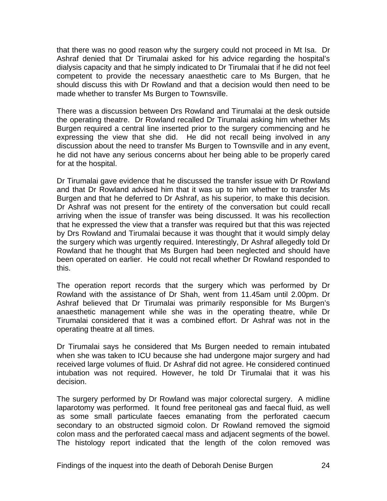that there was no good reason why the surgery could not proceed in Mt Isa. Dr Ashraf denied that Dr Tirumalai asked for his advice regarding the hospital's dialysis capacity and that he simply indicated to Dr Tirumalai that if he did not feel competent to provide the necessary anaesthetic care to Ms Burgen, that he should discuss this with Dr Rowland and that a decision would then need to be made whether to transfer Ms Burgen to Townsville.

There was a discussion between Drs Rowland and Tirumalai at the desk outside the operating theatre. Dr Rowland recalled Dr Tirumalai asking him whether Ms Burgen required a central line inserted prior to the surgery commencing and he expressing the view that she did. He did not recall being involved in any discussion about the need to transfer Ms Burgen to Townsville and in any event, he did not have any serious concerns about her being able to be properly cared for at the hospital.

Dr Tirumalai gave evidence that he discussed the transfer issue with Dr Rowland and that Dr Rowland advised him that it was up to him whether to transfer Ms Burgen and that he deferred to Dr Ashraf, as his superior, to make this decision. Dr Ashraf was not present for the entirety of the conversation but could recall arriving when the issue of transfer was being discussed. It was his recollection that he expressed the view that a transfer was required but that this was rejected by Drs Rowland and Tirumalai because it was thought that it would simply delay the surgery which was urgently required. Interestingly, Dr Ashraf allegedly told Dr Rowland that he thought that Ms Burgen had been neglected and should have been operated on earlier. He could not recall whether Dr Rowland responded to this.

The operation report records that the surgery which was performed by Dr Rowland with the assistance of Dr Shah, went from 11.45am until 2.00pm. Dr Ashraf believed that Dr Tirumalai was primarily responsible for Ms Burgen's anaesthetic management while she was in the operating theatre, while Dr Tirumalai considered that it was a combined effort. Dr Ashraf was not in the operating theatre at all times.

Dr Tirumalai says he considered that Ms Burgen needed to remain intubated when she was taken to ICU because she had undergone major surgery and had received large volumes of fluid. Dr Ashraf did not agree. He considered continued intubation was not required. However, he told Dr Tirumalai that it was his decision.

The surgery performed by Dr Rowland was major colorectal surgery. A midline laparotomy was performed. It found free peritoneal gas and faecal fluid, as well as some small particulate faeces emanating from the perforated caecum secondary to an obstructed sigmoid colon. Dr Rowland removed the sigmoid colon mass and the perforated caecal mass and adjacent segments of the bowel. The histology report indicated that the length of the colon removed was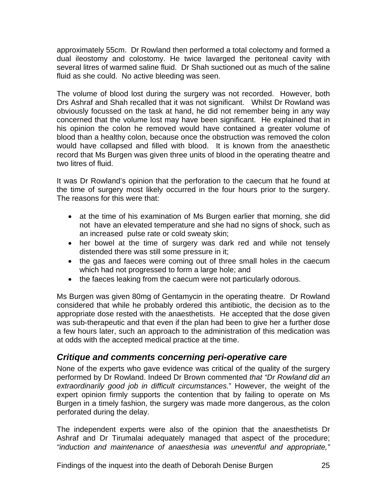<span id="page-26-0"></span>approximately 55cm. Dr Rowland then performed a total colectomy and formed a dual ileostomy and colostomy. He twice lavarged the peritoneal cavity with several litres of warmed saline fluid. Dr Shah suctioned out as much of the saline fluid as she could. No active bleeding was seen.

The volume of blood lost during the surgery was not recorded. However, both Drs Ashraf and Shah recalled that it was not significant. Whilst Dr Rowland was obviously focussed on the task at hand, he did not remember being in any way concerned that the volume lost may have been significant. He explained that in his opinion the colon he removed would have contained a greater volume of blood than a healthy colon, because once the obstruction was removed the colon would have collapsed and filled with blood. It is known from the anaesthetic record that Ms Burgen was given three units of blood in the operating theatre and two litres of fluid.

It was Dr Rowland's opinion that the perforation to the caecum that he found at the time of surgery most likely occurred in the four hours prior to the surgery. The reasons for this were that:

- at the time of his examination of Ms Burgen earlier that morning, she did not have an elevated temperature and she had no signs of shock, such as an increased pulse rate or cold sweaty skin;
- her bowel at the time of surgery was dark red and while not tensely distended there was still some pressure in it;
- the gas and faeces were coming out of three small holes in the caecum which had not progressed to form a large hole; and
- the faeces leaking from the caecum were not particularly odorous.

Ms Burgen was given 80mg of Gentamycin in the operating theatre. Dr Rowland considered that while he probably ordered this antibiotic, the decision as to the appropriate dose rested with the anaesthetists. He accepted that the dose given was sub-therapeutic and that even if the plan had been to give her a further dose a few hours later, such an approach to the administration of this medication was at odds with the accepted medical practice at the time.

# *Critique and comments concerning peri-operative care*

None of the experts who gave evidence was critical of the quality of the surgery performed by Dr Rowland. Indeed Dr Brown commented *that "Dr Rowland did an extraordinarily good job in difficult circumstances.*" However, the weight of the expert opinion firmly supports the contention that by failing to operate on Ms Burgen in a timely fashion, the surgery was made more dangerous, as the colon perforated during the delay.

The independent experts were also of the opinion that the anaesthetists Dr Ashraf and Dr Tirumalai adequately managed that aspect of the procedure; *"induction and maintenance of anaesthesia was uneventful and appropriate,"* 

Findings of the inquest into the death of Deborah Denise Burgen 25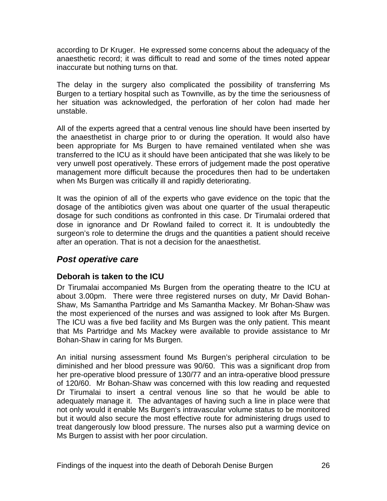<span id="page-27-0"></span>according to Dr Kruger. He expressed some concerns about the adequacy of the anaesthetic record; it was difficult to read and some of the times noted appear inaccurate but nothing turns on that.

The delay in the surgery also complicated the possibility of transferring Ms Burgen to a tertiary hospital such as Townville, as by the time the seriousness of her situation was acknowledged, the perforation of her colon had made her unstable.

All of the experts agreed that a central venous line should have been inserted by the anaesthetist in charge prior to or during the operation. It would also have been appropriate for Ms Burgen to have remained ventilated when she was transferred to the ICU as it should have been anticipated that she was likely to be very unwell post operatively. These errors of judgement made the post operative management more difficult because the procedures then had to be undertaken when Ms Burgen was critically ill and rapidly deteriorating.

It was the opinion of all of the experts who gave evidence on the topic that the dosage of the antibiotics given was about one quarter of the usual therapeutic dosage for such conditions as confronted in this case. Dr Tirumalai ordered that dose in ignorance and Dr Rowland failed to correct it. It is undoubtedly the surgeon's role to determine the drugs and the quantities a patient should receive after an operation. That is not a decision for the anaesthetist.

#### *Post operative care*

#### **Deborah is taken to the ICU**

Dr Tirumalai accompanied Ms Burgen from the operating theatre to the ICU at about 3.00pm. There were three registered nurses on duty, Mr David Bohan-Shaw, Ms Samantha Partridge and Ms Samantha Mackey. Mr Bohan-Shaw was the most experienced of the nurses and was assigned to look after Ms Burgen. The ICU was a five bed facility and Ms Burgen was the only patient. This meant that Ms Partridge and Ms Mackey were available to provide assistance to Mr Bohan-Shaw in caring for Ms Burgen.

An initial nursing assessment found Ms Burgen's peripheral circulation to be diminished and her blood pressure was 90/60. This was a significant drop from her pre-operative blood pressure of 130/77 and an intra-operative blood pressure of 120/60. Mr Bohan-Shaw was concerned with this low reading and requested Dr Tirumalai to insert a central venous line so that he would be able to adequately manage it. The advantages of having such a line in place were that not only would it enable Ms Burgen's intravascular volume status to be monitored but it would also secure the most effective route for administering drugs used to treat dangerously low blood pressure. The nurses also put a warming device on Ms Burgen to assist with her poor circulation.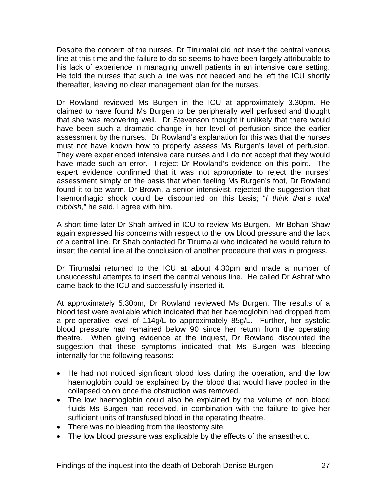Despite the concern of the nurses, Dr Tirumalai did not insert the central venous line at this time and the failure to do so seems to have been largely attributable to his lack of experience in managing unwell patients in an intensive care setting. He told the nurses that such a line was not needed and he left the ICU shortly thereafter, leaving no clear management plan for the nurses.

Dr Rowland reviewed Ms Burgen in the ICU at approximately 3.30pm. He claimed to have found Ms Burgen to be peripherally well perfused and thought that she was recovering well. Dr Stevenson thought it unlikely that there would have been such a dramatic change in her level of perfusion since the earlier assessment by the nurses. Dr Rowland's explanation for this was that the nurses must not have known how to properly assess Ms Burgen's level of perfusion. They were experienced intensive care nurses and I do not accept that they would have made such an error. I reject Dr Rowland's evidence on this point. The expert evidence confirmed that it was not appropriate to reject the nurses' assessment simply on the basis that when feeling Ms Burgen's foot, Dr Rowland found it to be warm. Dr Brown, a senior intensivist, rejected the suggestion that haemorrhagic shock could be discounted on this basis; "*I think that's total rubbish,*" he said. I agree with him.

A short time later Dr Shah arrived in ICU to review Ms Burgen. Mr Bohan-Shaw again expressed his concerns with respect to the low blood pressure and the lack of a central line. Dr Shah contacted Dr Tirumalai who indicated he would return to insert the cental line at the conclusion of another procedure that was in progress.

Dr Tirumalai returned to the ICU at about 4.30pm and made a number of unsuccessful attempts to insert the central venous line. He called Dr Ashraf who came back to the ICU and successfully inserted it.

At approximately 5.30pm, Dr Rowland reviewed Ms Burgen. The results of a blood test were available which indicated that her haemoglobin had dropped from a pre-operative level of 114g/L to approximately 85g/L. Further, her systolic blood pressure had remained below 90 since her return from the operating theatre. When giving evidence at the inquest, Dr Rowland discounted the suggestion that these symptoms indicated that Ms Burgen was bleeding internally for the following reasons:-

- He had not noticed significant blood loss during the operation, and the low haemoglobin could be explained by the blood that would have pooled in the collapsed colon once the obstruction was removed.
- The low haemoglobin could also be explained by the volume of non blood fluids Ms Burgen had received, in combination with the failure to give her sufficient units of transfused blood in the operating theatre.
- There was no bleeding from the ileostomy site.
- The low blood pressure was explicable by the effects of the anaesthetic.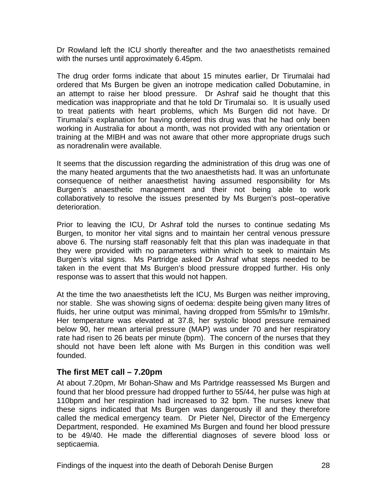<span id="page-29-0"></span>Dr Rowland left the ICU shortly thereafter and the two anaesthetists remained with the nurses until approximately 6.45pm.

The drug order forms indicate that about 15 minutes earlier, Dr Tirumalai had ordered that Ms Burgen be given an inotrope medication called Dobutamine, in an attempt to raise her blood pressure. Dr Ashraf said he thought that this medication was inappropriate and that he told Dr Tirumalai so. It is usually used to treat patients with heart problems, which Ms Burgen did not have. Dr Tirumalai's explanation for having ordered this drug was that he had only been working in Australia for about a month, was not provided with any orientation or training at the MIBH and was not aware that other more appropriate drugs such as noradrenalin were available.

It seems that the discussion regarding the administration of this drug was one of the many heated arguments that the two anaesthetists had. It was an unfortunate consequence of neither anaesthetist having assumed responsibility for Ms Burgen's anaesthetic management and their not being able to work collaboratively to resolve the issues presented by Ms Burgen's post–operative deterioration.

Prior to leaving the ICU, Dr Ashraf told the nurses to continue sedating Ms Burgen, to monitor her vital signs and to maintain her central venous pressure above 6. The nursing staff reasonably felt that this plan was inadequate in that they were provided with no parameters within which to seek to maintain Ms Burgen's vital signs. Ms Partridge asked Dr Ashraf what steps needed to be taken in the event that Ms Burgen's blood pressure dropped further. His only response was to assert that this would not happen.

At the time the two anaesthetists left the ICU, Ms Burgen was neither improving, nor stable. She was showing signs of oedema: despite being given many litres of fluids, her urine output was minimal, having dropped from 55mls/hr to 19mls/hr. Her temperature was elevated at 37.8, her systolic blood pressure remained below 90, her mean arterial pressure (MAP) was under 70 and her respiratory rate had risen to 26 beats per minute (bpm). The concern of the nurses that they should not have been left alone with Ms Burgen in this condition was well founded.

#### **The first MET call – 7.20pm**

At about 7.20pm, Mr Bohan-Shaw and Ms Partridge reassessed Ms Burgen and found that her blood pressure had dropped further to 55/44, her pulse was high at 110bpm and her respiration had increased to 32 bpm. The nurses knew that these signs indicated that Ms Burgen was dangerously ill and they therefore called the medical emergency team. Dr Pieter Nel, Director of the Emergency Department, responded. He examined Ms Burgen and found her blood pressure to be 49/40. He made the differential diagnoses of severe blood loss or septicaemia.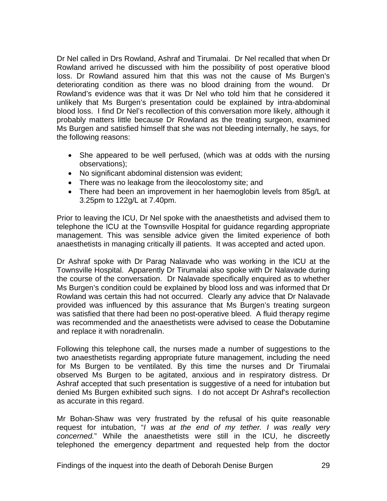Dr Nel called in Drs Rowland, Ashraf and Tirumalai. Dr Nel recalled that when Dr Rowland arrived he discussed with him the possibility of post operative blood loss. Dr Rowland assured him that this was not the cause of Ms Burgen's deteriorating condition as there was no blood draining from the wound. Dr Rowland's evidence was that it was Dr Nel who told him that he considered it unlikely that Ms Burgen's presentation could be explained by intra-abdominal blood loss. I find Dr Nel's recollection of this conversation more likely, although it probably matters little because Dr Rowland as the treating surgeon, examined Ms Burgen and satisfied himself that she was not bleeding internally, he says, for the following reasons:

- She appeared to be well perfused, (which was at odds with the nursing observations);
- No significant abdominal distension was evident;
- There was no leakage from the ileocolostomy site; and
- There had been an improvement in her haemoglobin levels from 85g/L at 3.25pm to 122g/L at 7.40pm.

Prior to leaving the ICU, Dr Nel spoke with the anaesthetists and advised them to telephone the ICU at the Townsville Hospital for guidance regarding appropriate management. This was sensible advice given the limited experience of both anaesthetists in managing critically ill patients. It was accepted and acted upon.

Dr Ashraf spoke with Dr Parag Nalavade who was working in the ICU at the Townsville Hospital. Apparently Dr Tirumalai also spoke with Dr Nalavade during the course of the conversation. Dr Nalavade specifically enquired as to whether Ms Burgen's condition could be explained by blood loss and was informed that Dr Rowland was certain this had not occurred. Clearly any advice that Dr Nalavade provided was influenced by this assurance that Ms Burgen's treating surgeon was satisfied that there had been no post-operative bleed. A fluid therapy regime was recommended and the anaesthetists were advised to cease the Dobutamine and replace it with noradrenalin.

Following this telephone call, the nurses made a number of suggestions to the two anaesthetists regarding appropriate future management, including the need for Ms Burgen to be ventilated. By this time the nurses and Dr Tirumalai observed Ms Burgen to be agitated, anxious and in respiratory distress. Dr Ashraf accepted that such presentation is suggestive of a need for intubation but denied Ms Burgen exhibited such signs. I do not accept Dr Ashraf's recollection as accurate in this regard.

Mr Bohan-Shaw was very frustrated by the refusal of his quite reasonable request for intubation, "*I was at the end of my tether. I was really very concerned.*" While the anaesthetists were still in the ICU, he discreetly telephoned the emergency department and requested help from the doctor

Findings of the inquest into the death of Deborah Denise Burgen 29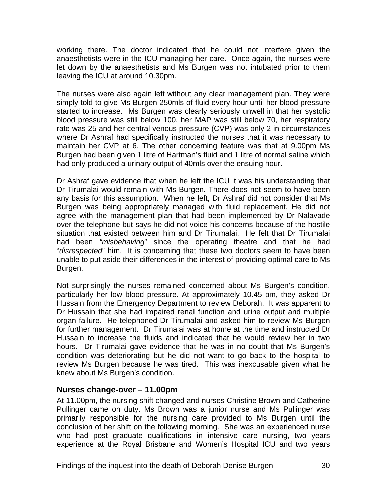<span id="page-31-0"></span>working there. The doctor indicated that he could not interfere given the anaesthetists were in the ICU managing her care. Once again, the nurses were let down by the anaesthetists and Ms Burgen was not intubated prior to them leaving the ICU at around 10.30pm.

The nurses were also again left without any clear management plan. They were simply told to give Ms Burgen 250mls of fluid every hour until her blood pressure started to increase. Ms Burgen was clearly seriously unwell in that her systolic blood pressure was still below 100, her MAP was still below 70, her respiratory rate was 25 and her central venous pressure (CVP) was only 2 in circumstances where Dr Ashraf had specifically instructed the nurses that it was necessary to maintain her CVP at 6. The other concerning feature was that at 9.00pm Ms Burgen had been given 1 litre of Hartman's fluid and 1 litre of normal saline which had only produced a urinary output of 40mls over the ensuing hour.

Dr Ashraf gave evidence that when he left the ICU it was his understanding that Dr Tirumalai would remain with Ms Burgen. There does not seem to have been any basis for this assumption. When he left, Dr Ashraf did not consider that Ms Burgen was being appropriately managed with fluid replacement. He did not agree with the management plan that had been implemented by Dr Nalavade over the telephone but says he did not voice his concerns because of the hostile situation that existed between him and Dr Tirumalai. He felt that Dr Tirumalai had been *"misbehaving*" since the operating theatre and that he had "*disrespected*" him. It is concerning that these two doctors seem to have been unable to put aside their differences in the interest of providing optimal care to Ms Burgen.

Not surprisingly the nurses remained concerned about Ms Burgen's condition, particularly her low blood pressure. At approximately 10.45 pm, they asked Dr Hussain from the Emergency Department to review Deborah. It was apparent to Dr Hussain that she had impaired renal function and urine output and multiple organ failure. He telephoned Dr Tirumalai and asked him to review Ms Burgen for further management. Dr Tirumalai was at home at the time and instructed Dr Hussain to increase the fluids and indicated that he would review her in two hours. Dr Tirumalai gave evidence that he was in no doubt that Ms Burgen's condition was deteriorating but he did not want to go back to the hospital to review Ms Burgen because he was tired. This was inexcusable given what he knew about Ms Burgen's condition.

#### **Nurses change-over – 11.00pm**

At 11.00pm, the nursing shift changed and nurses Christine Brown and Catherine Pullinger came on duty. Ms Brown was a junior nurse and Ms Pullinger was primarily responsible for the nursing care provided to Ms Burgen until the conclusion of her shift on the following morning. She was an experienced nurse who had post graduate qualifications in intensive care nursing, two years experience at the Royal Brisbane and Women's Hospital ICU and two years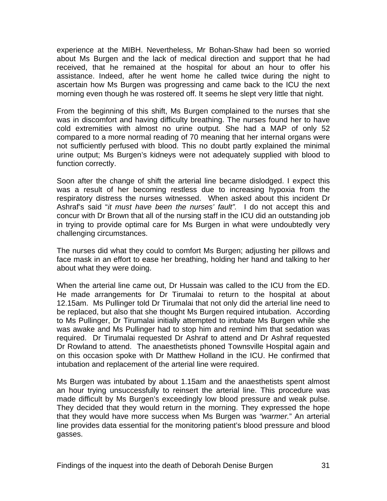experience at the MIBH. Nevertheless, Mr Bohan-Shaw had been so worried about Ms Burgen and the lack of medical direction and support that he had received, that he remained at the hospital for about an hour to offer his assistance. Indeed, after he went home he called twice during the night to ascertain how Ms Burgen was progressing and came back to the ICU the next morning even though he was rostered off. It seems he slept very little that night.

From the beginning of this shift, Ms Burgen complained to the nurses that she was in discomfort and having difficulty breathing. The nurses found her to have cold extremities with almost no urine output. She had a MAP of only 52 compared to a more normal reading of 70 meaning that her internal organs were not sufficiently perfused with blood. This no doubt partly explained the minimal urine output; Ms Burgen's kidneys were not adequately supplied with blood to function correctly.

Soon after the change of shift the arterial line became dislodged. I expect this was a result of her becoming restless due to increasing hypoxia from the respiratory distress the nurses witnessed. When asked about this incident Dr Ashraf's said "*it must have been the nurses' fault".* I do not accept this and concur with Dr Brown that all of the nursing staff in the ICU did an outstanding job in trying to provide optimal care for Ms Burgen in what were undoubtedly very challenging circumstances.

The nurses did what they could to comfort Ms Burgen; adjusting her pillows and face mask in an effort to ease her breathing, holding her hand and talking to her about what they were doing.

When the arterial line came out, Dr Hussain was called to the ICU from the ED. He made arrangements for Dr Tirumalai to return to the hospital at about 12.15am. Ms Pullinger told Dr Tirumalai that not only did the arterial line need to be replaced, but also that she thought Ms Burgen required intubation. According to Ms Pullinger, Dr Tirumalai initially attempted to intubate Ms Burgen while she was awake and Ms Pullinger had to stop him and remind him that sedation was required. Dr Tirumalai requested Dr Ashraf to attend and Dr Ashraf requested Dr Rowland to attend. The anaesthetists phoned Townsville Hospital again and on this occasion spoke with Dr Matthew Holland in the ICU. He confirmed that intubation and replacement of the arterial line were required.

Ms Burgen was intubated by about 1.15am and the anaesthetists spent almost an hour trying unsuccessfully to reinsert the arterial line. This procedure was made difficult by Ms Burgen's exceedingly low blood pressure and weak pulse. They decided that they would return in the morning. They expressed the hope that they would have more success when Ms Burgen was *"warmer.*" An arterial line provides data essential for the monitoring patient's blood pressure and blood gasses.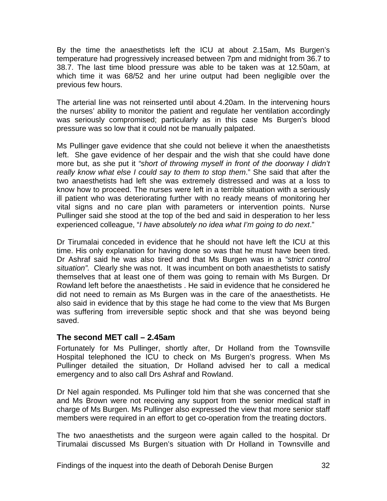<span id="page-33-0"></span>By the time the anaesthetists left the ICU at about 2.15am, Ms Burgen's temperature had progressively increased between 7pm and midnight from 36.7 to 38.7. The last time blood pressure was able to be taken was at 12.50am, at which time it was 68/52 and her urine output had been negligible over the previous few hours.

The arterial line was not reinserted until about 4.20am. In the intervening hours the nurses' ability to monitor the patient and regulate her ventilation accordingly was seriously compromised; particularly as in this case Ms Burgen's blood pressure was so low that it could not be manually palpated.

Ms Pullinger gave evidence that she could not believe it when the anaesthetists left. She gave evidence of her despair and the wish that she could have done more but, as she put it *"short of throwing myself in front of the doorway I didn't really know what else I could say to them to stop them*." She said that after the two anaesthetists had left she was extremely distressed and was at a loss to know how to proceed. The nurses were left in a terrible situation with a seriously ill patient who was deteriorating further with no ready means of monitoring her vital signs and no care plan with parameters or intervention points. Nurse Pullinger said she stood at the top of the bed and said in desperation to her less experienced colleague, "*I have absolutely no idea what I'm going to do next*."

Dr Tirumalai conceded in evidence that he should not have left the ICU at this time. His only explanation for having done so was that he must have been tired. Dr Ashraf said he was also tired and that Ms Burgen was in a *"strict control situation".* Clearly she was not. It was incumbent on both anaesthetists to satisfy themselves that at least one of them was going to remain with Ms Burgen. Dr Rowland left before the anaesthetists . He said in evidence that he considered he did not need to remain as Ms Burgen was in the care of the anaesthetists. He also said in evidence that by this stage he had come to the view that Ms Burgen was suffering from irreversible septic shock and that she was beyond being saved.

#### **The second MET call – 2.45am**

Fortunately for Ms Pullinger, shortly after, Dr Holland from the Townsville Hospital telephoned the ICU to check on Ms Burgen's progress. When Ms Pullinger detailed the situation, Dr Holland advised her to call a medical emergency and to also call Drs Ashraf and Rowland.

Dr Nel again responded. Ms Pullinger told him that she was concerned that she and Ms Brown were not receiving any support from the senior medical staff in charge of Ms Burgen. Ms Pullinger also expressed the view that more senior staff members were required in an effort to get co-operation from the treating doctors.

The two anaesthetists and the surgeon were again called to the hospital. Dr Tirumalai discussed Ms Burgen's situation with Dr Holland in Townsville and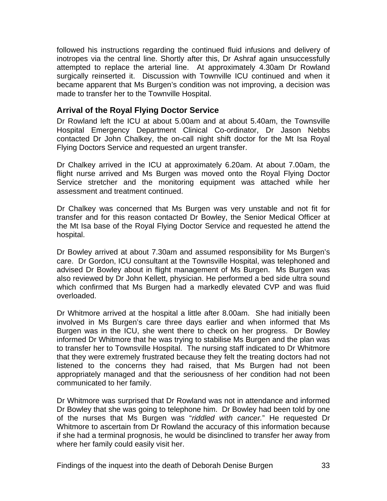<span id="page-34-0"></span>followed his instructions regarding the continued fluid infusions and delivery of inotropes via the central line. Shortly after this, Dr Ashraf again unsuccessfully attempted to replace the arterial line. At approximately 4.30am Dr Rowland surgically reinserted it. Discussion with Townville ICU continued and when it became apparent that Ms Burgen's condition was not improving, a decision was made to transfer her to the Townville Hospital.

#### **Arrival of the Royal Flying Doctor Service**

Dr Rowland left the ICU at about 5.00am and at about 5.40am, the Townsville Hospital Emergency Department Clinical Co-ordinator, Dr Jason Nebbs contacted Dr John Chalkey, the on-call night shift doctor for the Mt Isa Royal Flying Doctors Service and requested an urgent transfer.

Dr Chalkey arrived in the ICU at approximately 6.20am. At about 7.00am, the flight nurse arrived and Ms Burgen was moved onto the Royal Flying Doctor Service stretcher and the monitoring equipment was attached while her assessment and treatment continued.

Dr Chalkey was concerned that Ms Burgen was very unstable and not fit for transfer and for this reason contacted Dr Bowley, the Senior Medical Officer at the Mt Isa base of the Royal Flying Doctor Service and requested he attend the hospital.

Dr Bowley arrived at about 7.30am and assumed responsibility for Ms Burgen's care. Dr Gordon, ICU consultant at the Townsville Hospital, was telephoned and advised Dr Bowley about in flight management of Ms Burgen. Ms Burgen was also reviewed by Dr John Kellett, physician. He performed a bed side ultra sound which confirmed that Ms Burgen had a markedly elevated CVP and was fluid overloaded.

Dr Whitmore arrived at the hospital a little after 8.00am. She had initially been involved in Ms Burgen's care three days earlier and when informed that Ms Burgen was in the ICU, she went there to check on her progress. Dr Bowley informed Dr Whitmore that he was trying to stabilise Ms Burgen and the plan was to transfer her to Townsville Hospital. The nursing staff indicated to Dr Whitmore that they were extremely frustrated because they felt the treating doctors had not listened to the concerns they had raised, that Ms Burgen had not been appropriately managed and that the seriousness of her condition had not been communicated to her family.

Dr Whitmore was surprised that Dr Rowland was not in attendance and informed Dr Bowley that she was going to telephone him. Dr Bowley had been told by one of the nurses that Ms Burgen was "*riddled with cancer.*" He requested Dr Whitmore to ascertain from Dr Rowland the accuracy of this information because if she had a terminal prognosis, he would be disinclined to transfer her away from where her family could easily visit her.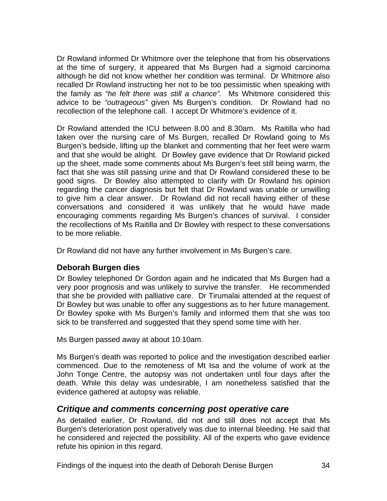<span id="page-35-0"></span>Dr Rowland informed Dr Whitmore over the telephone that from his observations at the time of surgery, it appeared that Ms Burgen had a sigmoid carcinoma although he did not know whether her condition was terminal. Dr Whitmore also recalled Dr Rowland instructing her not to be too pessimistic when speaking with the family as *"he felt there was still a chance".* Ms Whitmore considered this advice to be *"outrageous"* given Ms Burgen's condition. Dr Rowland had no recollection of the telephone call. I accept Dr Whitmore's evidence of it.

Dr Rowland attended the ICU between 8.00 and 8.30am. Ms Raitilla who had taken over the nursing care of Ms Burgen, recalled Dr Rowland going to Ms Burgen's bedside, lifting up the blanket and commenting that her feet were warm and that she would be alright. Dr Bowley gave evidence that Dr Rowland picked up the sheet, made some comments about Ms Burgen's feet still being warm, the fact that she was still passing urine and that Dr Rowland considered these to be good signs. Dr Bowley also attempted to clarify with Dr Rowland his opinion regarding the cancer diagnosis but felt that Dr Rowland was unable or unwilling to give him a clear answer. Dr Rowland did not recall having either of these conversations and considered it was unlikely that he would have made encouraging comments regarding Ms Burgen's chances of survival. I consider the recollections of Ms Raitilla and Dr Bowley with respect to these conversations to be more reliable.

Dr Rowland did not have any further involvement in Ms Burgen's care.

#### **Deborah Burgen dies**

Dr Bowley telephoned Dr Gordon again and he indicated that Ms Burgen had a very poor prognosis and was unlikely to survive the transfer. He recommended that she be provided with palliative care. Dr Tirumalai attended at the request of Dr Bowley but was unable to offer any suggestions as to her future management. Dr Bowley spoke with Ms Burgen's family and informed them that she was too sick to be transferred and suggested that they spend some time with her.

Ms Burgen passed away at about 10.10am.

Ms Burgen's death was reported to police and the investigation described earlier commenced. Due to the remoteness of Mt Isa and the volume of work at the John Tonge Centre, the autopsy was not undertaken until four days after the death. While this delay was undesirable, I am nonetheless satisfied that the evidence gathered at autopsy was reliable.

# *Critique and comments concerning post operative care*

As detailed earlier, Dr Rowland, did not and still does not accept that Ms Burgen's deterioration post operatively was due to internal bleeding. He said that he considered and rejected the possibility. All of the experts who gave evidence refute his opinion in this regard.

Findings of the inquest into the death of Deborah Denise Burgen 34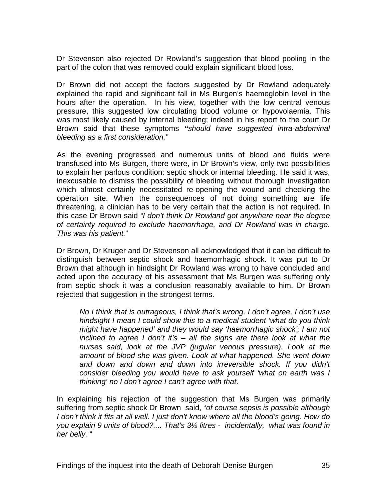Dr Stevenson also rejected Dr Rowland's suggestion that blood pooling in the part of the colon that was removed could explain significant blood loss.

Dr Brown did not accept the factors suggested by Dr Rowland adequately explained the rapid and significant fall in Ms Burgen's haemoglobin level in the hours after the operation. In his view, together with the low central venous pressure, this suggested low circulating blood volume or hypovolaemia. This was most likely caused by internal bleeding; indeed in his report to the court Dr Brown said that these symptoms *"should have suggested intra-abdominal bleeding as a first consideration."*

As the evening progressed and numerous units of blood and fluids were transfused into Ms Burgen, there were, in Dr Brown's view, only two possibilities to explain her parlous condition: septic shock or internal bleeding. He said it was, inexcusable to dismiss the possibility of bleeding without thorough investigation which almost certainly necessitated re-opening the wound and checking the operation site. When the consequences of not doing something are life threatening, a clinician has to be very certain that the action is not required. In this case Dr Brown said *"I don't think Dr Rowland got anywhere near the degree of certainty required to exclude haemorrhage, and Dr Rowland was in charge. This was his patient.*"

Dr Brown, Dr Kruger and Dr Stevenson all acknowledged that it can be difficult to distinguish between septic shock and haemorrhagic shock. It was put to Dr Brown that although in hindsight Dr Rowland was wrong to have concluded and acted upon the accuracy of his assessment that Ms Burgen was suffering only from septic shock it was a conclusion reasonably available to him. Dr Brown rejected that suggestion in the strongest terms.

*No I think that is outrageous, I think that's wrong, I don't agree, I don't use hindsight I mean I could show this to a medical student 'what do you think might have happened' and they would say 'haemorrhagic shock'; I am not inclined to agree I don't it's – all the signs are there look at what the nurses said, look at the JVP (jugular venous pressure). Look at the amount of blood she was given. Look at what happened. She went down and down and down and down into irreversible shock. If you didn't consider bleeding you would have to ask yourself 'what on earth was I thinking' no I don't agree I can't agree with that*.

In explaining his rejection of the suggestion that Ms Burgen was primarily suffering from septic shock Dr Brown said, "*of course sepsis is possible although I don't think it fits at all well. I just don't know where all the blood's going. How do you explain 9 units of blood?.... That's 3½ litres - incidentally, what was found in her belly.* "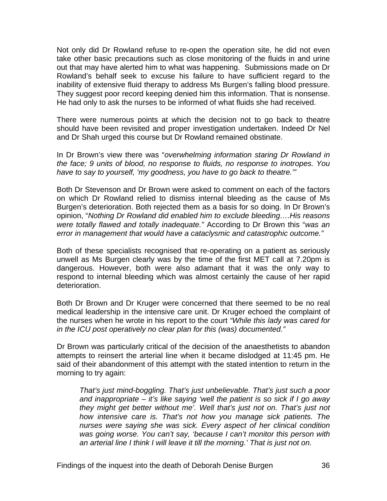Not only did Dr Rowland refuse to re-open the operation site, he did not even take other basic precautions such as close monitoring of the fluids in and urine out that may have alerted him to what was happening. Submissions made on Dr Rowland's behalf seek to excuse his failure to have sufficient regard to the inability of extensive fluid therapy to address Ms Burgen's falling blood pressure. They suggest poor record keeping denied him this information. That is nonsense. He had only to ask the nurses to be informed of what fluids she had received.

There were numerous points at which the decision not to go back to theatre should have been revisited and proper investigation undertaken. Indeed Dr Nel and Dr Shah urged this course but Dr Rowland remained obstinate.

In Dr Brown's view there was "*overwhelming information staring Dr Rowland in the face; 9 units of blood, no response to fluids, no response to inotropes. You have to say to yourself, 'my goodness, you have to go back to theatre.'"*

Both Dr Stevenson and Dr Brown were asked to comment on each of the factors on which Dr Rowland relied to dismiss internal bleeding as the cause of Ms Burgen's deterioration. Both rejected them as a basis for so doing. In Dr Brown's opinion, "*Nothing Dr Rowland did enabled him to exclude bleeding….His reasons were totally flawed and totally inadequate."* According to Dr Brown this "*was an error in management that would have a cataclysmic and catastrophic outcome."* 

Both of these specialists recognised that re-operating on a patient as seriously unwell as Ms Burgen clearly was by the time of the first MET call at 7.20pm is dangerous. However, both were also adamant that it was the only way to respond to internal bleeding which was almost certainly the cause of her rapid deterioration.

Both Dr Brown and Dr Kruger were concerned that there seemed to be no real medical leadership in the intensive care unit. Dr Kruger echoed the complaint of the nurses when he wrote in his report to the court *"While this lady was cared for in the ICU post operatively no clear plan for this (was) documented."*

Dr Brown was particularly critical of the decision of the anaesthetists to abandon attempts to reinsert the arterial line when it became dislodged at 11:45 pm. He said of their abandonment of this attempt with the stated intention to return in the morning to try again:

*That's just mind-boggling. That's just unbelievable. That's just such a poor and inappropriate – it's like saying 'well the patient is so sick if I go away they might get better without me'. Well that's just not on. That's just not how intensive care is. That's not how you manage sick patients. The nurses were saying she was sick. Every aspect of her clinical condition was going worse. You can't say, 'because I can't monitor this person with an arterial line I think I will leave it till the morning.' That is just not on.*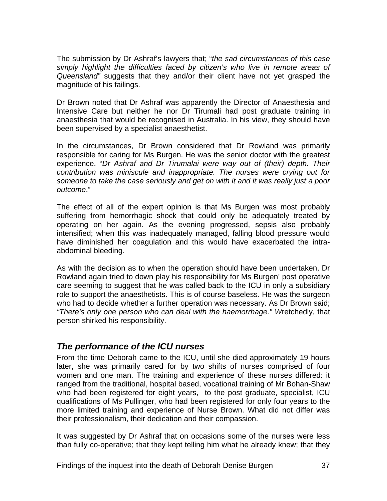<span id="page-38-0"></span>The submission by Dr Ashraf's lawyers that; "*the sad circumstances of this case simply highlight the difficulties faced by citizen's who live in remote areas of Queensland"* suggests that they and/or their client have not yet grasped the magnitude of his failings.

Dr Brown noted that Dr Ashraf was apparently the Director of Anaesthesia and Intensive Care but neither he nor Dr Tirumali had post graduate training in anaesthesia that would be recognised in Australia. In his view, they should have been supervised by a specialist anaesthetist.

In the circumstances, Dr Brown considered that Dr Rowland was primarily responsible for caring for Ms Burgen. He was the senior doctor with the greatest experience. "*Dr Ashraf and Dr Tirumalai were way out of (their) depth. Their contribution was miniscule and inappropriate. The nurses were crying out for someone to take the case seriously and get on with it and it was really just a poor outcome*."

The effect of all of the expert opinion is that Ms Burgen was most probably suffering from hemorrhagic shock that could only be adequately treated by operating on her again. As the evening progressed, sepsis also probably intensified; when this was inadequately managed, falling blood pressure would have diminished her coagulation and this would have exacerbated the intraabdominal bleeding.

As with the decision as to when the operation should have been undertaken, Dr Rowland again tried to down play his responsibility for Ms Burgen' post operative care seeming to suggest that he was called back to the ICU in only a subsidiary role to support the anaesthetists. This is of course baseless. He was the surgeon who had to decide whether a further operation was necessary. As Dr Brown said; *"There's only one person who can deal with the haemorrhage." W*retchedly, that person shirked his responsibility.

# *The performance of the ICU nurses*

From the time Deborah came to the ICU, until she died approximately 19 hours later, she was primarily cared for by two shifts of nurses comprised of four women and one man. The training and experience of these nurses differed: it ranged from the traditional, hospital based, vocational training of Mr Bohan-Shaw who had been registered for eight years, to the post graduate, specialist, ICU qualifications of Ms Pullinger, who had been registered for only four years to the more limited training and experience of Nurse Brown. What did not differ was their professionalism, their dedication and their compassion.

It was suggested by Dr Ashraf that on occasions some of the nurses were less than fully co-operative; that they kept telling him what he already knew; that they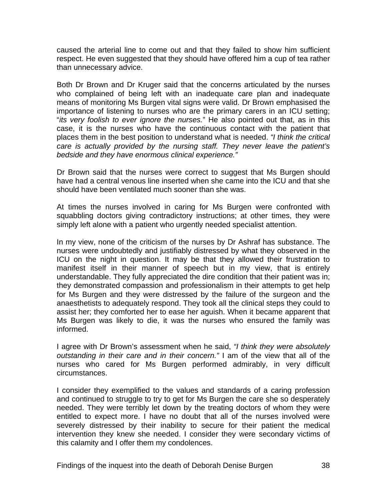caused the arterial line to come out and that they failed to show him sufficient respect. He even suggested that they should have offered him a cup of tea rather than unnecessary advice.

Both Dr Brown and Dr Kruger said that the concerns articulated by the nurses who complained of being left with an inadequate care plan and inadequate means of monitoring Ms Burgen vital signs were valid. Dr Brown emphasised the importance of listening to nurses who are the primary carers in an ICU setting; "*its very foolish to ever ignore the nurses.*" He also pointed out that, as in this case, it is the nurses who have the continuous contact with the patient that places them in the best position to understand what is needed. *"I think the critical care is actually provided by the nursing staff. They never leave the patient's bedside and they have enormous clinical experience."* 

Dr Brown said that the nurses were correct to suggest that Ms Burgen should have had a central venous line inserted when she came into the ICU and that she should have been ventilated much sooner than she was.

At times the nurses involved in caring for Ms Burgen were confronted with squabbling doctors giving contradictory instructions; at other times, they were simply left alone with a patient who urgently needed specialist attention.

In my view, none of the criticism of the nurses by Dr Ashraf has substance. The nurses were undoubtedly and justifiably distressed by what they observed in the ICU on the night in question. It may be that they allowed their frustration to manifest itself in their manner of speech but in my view, that is entirely understandable. They fully appreciated the dire condition that their patient was in; they demonstrated compassion and professionalism in their attempts to get help for Ms Burgen and they were distressed by the failure of the surgeon and the anaesthetists to adequately respond. They took all the clinical steps they could to assist her; they comforted her to ease her aguish. When it became apparent that Ms Burgen was likely to die, it was the nurses who ensured the family was informed.

I agree with Dr Brown's assessment when he said, *"I think they were absolutely outstanding in their care and in their concern."* I am of the view that all of the nurses who cared for Ms Burgen performed admirably, in very difficult circumstances.

I consider they exemplified to the values and standards of a caring profession and continued to struggle to try to get for Ms Burgen the care she so desperately needed. They were terribly let down by the treating doctors of whom they were entitled to expect more. I have no doubt that all of the nurses involved were severely distressed by their inability to secure for their patient the medical intervention they knew she needed. I consider they were secondary victims of this calamity and I offer them my condolences.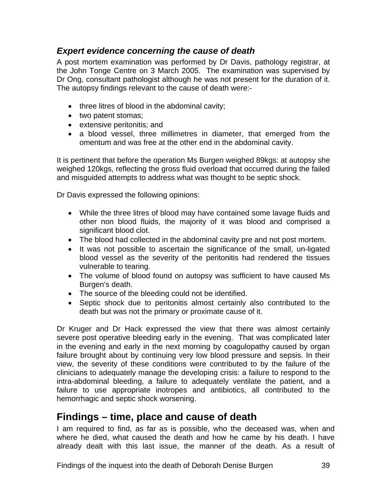# <span id="page-40-0"></span>*Expert evidence concerning the cause of death*

A post mortem examination was performed by Dr Davis, pathology registrar, at the John Tonge Centre on 3 March 2005. The examination was supervised by Dr Ong, consultant pathologist although he was not present for the duration of it. The autopsy findings relevant to the cause of death were:-

- three litres of blood in the abdominal cavity;
- two patent stomas;
- extensive peritonitis; and
- a blood vessel, three millimetres in diameter, that emerged from the omentum and was free at the other end in the abdominal cavity.

It is pertinent that before the operation Ms Burgen weighed 89kgs: at autopsy she weighed 120kgs, reflecting the gross fluid overload that occurred during the failed and misguided attempts to address what was thought to be septic shock.

Dr Davis expressed the following opinions:

- While the three litres of blood may have contained some lavage fluids and other non blood fluids, the majority of it was blood and comprised a significant blood clot.
- The blood had collected in the abdominal cavity pre and not post mortem.
- It was not possible to ascertain the significance of the small, un-ligated blood vessel as the severity of the peritonitis had rendered the tissues vulnerable to tearing.
- The volume of blood found on autopsy was sufficient to have caused Ms Burgen's death.
- The source of the bleeding could not be identified.
- Septic shock due to peritonitis almost certainly also contributed to the death but was not the primary or proximate cause of it.

Dr Kruger and Dr Hack expressed the view that there was almost certainly severe post operative bleeding early in the evening. That was complicated later in the evening and early in the next morning by coagulopathy caused by organ failure brought about by continuing very low blood pressure and sepsis. In their view, the severity of these conditions were contributed to by the failure of the clinicians to adequately manage the developing crisis: a failure to respond to the intra-abdominal bleeding, a failure to adequately ventilate the patient, and a failure to use appropriate inotropes and antibiotics, all contributed to the hemorrhagic and septic shock worsening.

# **Findings – time, place and cause of death**

I am required to find, as far as is possible, who the deceased was, when and where he died, what caused the death and how he came by his death. I have already dealt with this last issue, the manner of the death. As a result of

Findings of the inquest into the death of Deborah Denise Burgen 39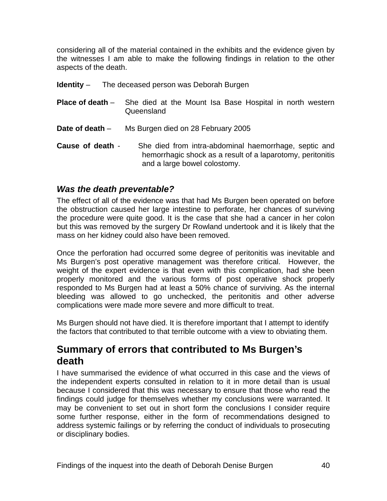<span id="page-41-0"></span>considering all of the material contained in the exhibits and the evidence given by the witnesses I am able to make the following findings in relation to the other aspects of the death.

- **Identity** The deceased person was Deborah Burgen
- **Place of death** She died at the Mount Isa Base Hospital in north western Queensland
- **Date of death** Ms Burgen died on 28 February 2005
- **Cause of death** She died from intra-abdominal haemorrhage, septic and hemorrhagic shock as a result of a laparotomy, peritonitis and a large bowel colostomy.

#### *Was the death preventable?*

The effect of all of the evidence was that had Ms Burgen been operated on before the obstruction caused her large intestine to perforate, her chances of surviving the procedure were quite good. It is the case that she had a cancer in her colon but this was removed by the surgery Dr Rowland undertook and it is likely that the mass on her kidney could also have been removed.

Once the perforation had occurred some degree of peritonitis was inevitable and Ms Burgen's post operative management was therefore critical. However, the weight of the expert evidence is that even with this complication, had she been properly monitored and the various forms of post operative shock properly responded to Ms Burgen had at least a 50% chance of surviving. As the internal bleeding was allowed to go unchecked, the peritonitis and other adverse complications were made more severe and more difficult to treat.

Ms Burgen should not have died. It is therefore important that I attempt to identify the factors that contributed to that terrible outcome with a view to obviating them.

# **Summary of errors that contributed to Ms Burgen's death**

I have summarised the evidence of what occurred in this case and the views of the independent experts consulted in relation to it in more detail than is usual because I considered that this was necessary to ensure that those who read the findings could judge for themselves whether my conclusions were warranted. It may be convenient to set out in short form the conclusions I consider require some further response, either in the form of recommendations designed to address systemic failings or by referring the conduct of individuals to prosecuting or disciplinary bodies.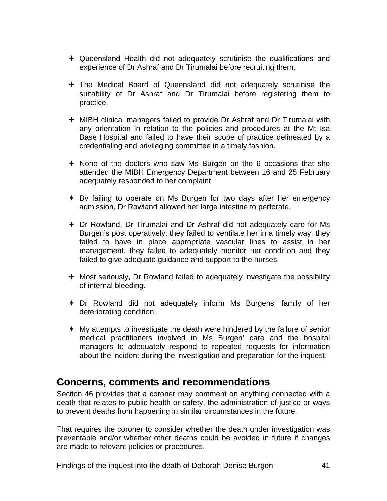- <span id="page-42-0"></span> Queensland Health did not adequately scrutinise the qualifications and experience of Dr Ashraf and Dr Tirumalai before recruiting them.
- The Medical Board of Queensland did not adequately scrutinise the suitability of Dr Ashraf and Dr Tirumalai before registering them to practice.
- MIBH clinical managers failed to provide Dr Ashraf and Dr Tirumalai with any orientation in relation to the policies and procedures at the Mt Isa Base Hospital and failed to have their scope of practice delineated by a credentialing and privileging committee in a timely fashion.
- None of the doctors who saw Ms Burgen on the 6 occasions that she attended the MIBH Emergency Department between 16 and 25 February adequately responded to her complaint.
- $\div$  By failing to operate on Ms Burgen for two days after her emergency admission, Dr Rowland allowed her large intestine to perforate.
- Dr Rowland, Dr Tirumalai and Dr Ashraf did not adequately care for Ms Burgen's post operatively: they failed to ventilate her in a timely way, they failed to have in place appropriate vascular lines to assist in her management, they failed to adequately monitor her condition and they failed to give adequate guidance and support to the nurses.
- Most seriously, Dr Rowland failed to adequately investigate the possibility of internal bleeding.
- Dr Rowland did not adequately inform Ms Burgens' family of her deteriorating condition.
- My attempts to investigate the death were hindered by the failure of senior medical practitioners involved in Ms Burgen' care and the hospital managers to adequately respond to repeated requests for information about the incident during the investigation and preparation for the inquest.

# **Concerns, comments and recommendations**

Section 46 provides that a coroner may comment on anything connected with a death that relates to public health or safety, the administration of justice or ways to prevent deaths from happening in similar circumstances in the future.

That requires the coroner to consider whether the death under investigation was preventable and/or whether other deaths could be avoided in future if changes are made to relevant policies or procedures.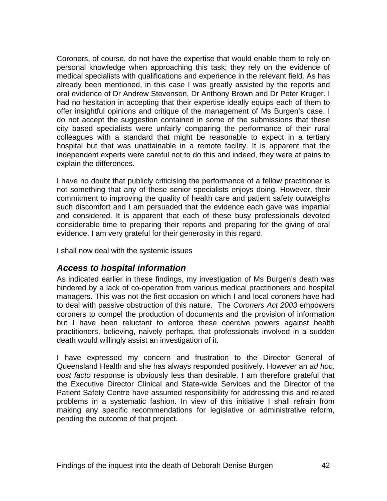<span id="page-43-0"></span>Coroners, of course, do not have the expertise that would enable them to rely on personal knowledge when approaching this task; they rely on the evidence of medical specialists with qualifications and experience in the relevant field. As has already been mentioned, in this case I was greatly assisted by the reports and oral evidence of Dr Andrew Stevenson, Dr Anthony Brown and Dr Peter Kruger. I had no hesitation in accepting that their expertise ideally equips each of them to offer insightful opinions and critique of the management of Ms Burgen's case. I do not accept the suggestion contained in some of the submissions that these city based specialists were unfairly comparing the performance of their rural colleagues with a standard that might be reasonable to expect in a tertiary hospital but that was unattainable in a remote facility. It is apparent that the independent experts were careful not to do this and indeed, they were at pains to explain the differences.

I have no doubt that publicly criticising the performance of a fellow practitioner is not something that any of these senior specialists enjoys doing. However, their commitment to improving the quality of health care and patient safety outweighs such discomfort and I am persuaded that the evidence each gave was impartial and considered. It is apparent that each of these busy professionals devoted considerable time to preparing their reports and preparing for the giving of oral evidence. I am very grateful for their generosity in this regard.

I shall now deal with the systemic issues

#### *Access to hospital information*

As indicated earlier in these findings, my investigation of Ms Burgen's death was hindered by a lack of co-operation from various medical practitioners and hospital managers. This was not the first occasion on which I and local coroners have had to deal with passive obstruction of this nature. The *Coroners Act 2003* empowers coroners to compel the production of documents and the provision of information but I have been reluctant to enforce these coercive powers against health practitioners, believing, naively perhaps, that professionals involved in a sudden death would willingly assist an investigation of it.

I have expressed my concern and frustration to the Director General of Queensland Health and she has always responded positively. However an *ad hoc, post facto* response is obviously less than desirable. I am therefore grateful that the Executive Director Clinical and State-wide Services and the Director of the Patient Safety Centre have assumed responsibility for addressing this and related problems in a systematic fashion. In view of this initiative I shall refrain from making any specific recommendations for legislative or administrative reform, pending the outcome of that project.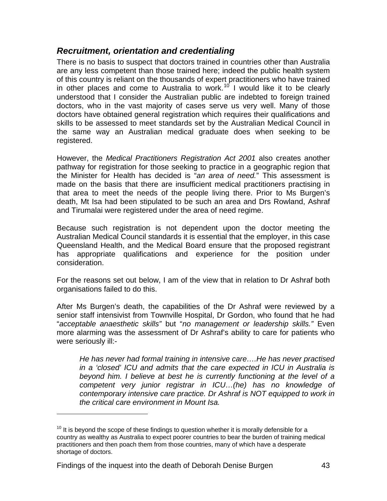#### <span id="page-44-0"></span>*Recruitment, orientation and credentialing*

There is no basis to suspect that doctors trained in countries other than Australia are any less competent than those trained here; indeed the public health system of this country is reliant on the thousands of expert practitioners who have trained in other places and come to Australia to work.<sup>[10](#page-44-1)</sup> I would like it to be clearly understood that I consider the Australian public are indebted to foreign trained doctors, who in the vast majority of cases serve us very well. Many of those doctors have obtained general registration which requires their qualifications and skills to be assessed to meet standards set by the Australian Medical Council in the same way an Australian medical graduate does when seeking to be registered.

However, the *Medical Practitioners Registration Act 2001* also creates another pathway for registration for those seeking to practice in a geographic region that the Minister for Health has decided is "*an area of need.*" This assessment is made on the basis that there are insufficient medical practitioners practising in that area to meet the needs of the people living there. Prior to Ms Burgen's death, Mt Isa had been stipulated to be such an area and Drs Rowland, Ashraf and Tirumalai were registered under the area of need regime.

Because such registration is not dependent upon the doctor meeting the Australian Medical Council standards it is essential that the employer, in this case Queensland Health, and the Medical Board ensure that the proposed registrant has appropriate qualifications and experience for the position under consideration.

For the reasons set out below, I am of the view that in relation to Dr Ashraf both organisations failed to do this.

After Ms Burgen's death, the capabilities of the Dr Ashraf were reviewed by a senior staff intensivist from Townville Hospital, Dr Gordon, who found that he had "*acceptable anaesthetic skills"* but "*no management or leadership skills."* Even more alarming was the assessment of Dr Ashraf's ability to care for patients who were seriously ill:-

*He has never had formal training in intensive care….He has never practised in a 'closed' ICU and admits that the care expected in ICU in Australia is beyond him. I believe at best he is currently functioning at the level of a competent very junior registrar in ICU…(he) has no knowledge of contemporary intensive care practice. Dr Ashraf is NOT equipped to work in the critical care environment in Mount Isa.* 

l

<span id="page-44-1"></span> $10$  It is beyond the scope of these findings to question whether it is morally defensible for a country as wealthy as Australia to expect poorer countries to bear the burden of training medical practitioners and then poach them from those countries, many of which have a desperate shortage of doctors.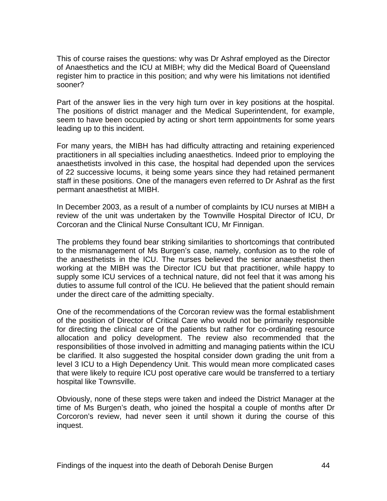This of course raises the questions: why was Dr Ashraf employed as the Director of Anaesthetics and the ICU at MIBH; why did the Medical Board of Queensland register him to practice in this position; and why were his limitations not identified sooner?

Part of the answer lies in the very high turn over in key positions at the hospital. The positions of district manager and the Medical Superintendent, for example, seem to have been occupied by acting or short term appointments for some years leading up to this incident.

For many years, the MIBH has had difficulty attracting and retaining experienced practitioners in all specialties including anaesthetics. Indeed prior to employing the anaesthetists involved in this case, the hospital had depended upon the services of 22 successive locums, it being some years since they had retained permanent staff in these positions. One of the managers even referred to Dr Ashraf as the first permant anaesthetist at MIBH.

In December 2003, as a result of a number of complaints by ICU nurses at MIBH a review of the unit was undertaken by the Townville Hospital Director of ICU, Dr Corcoran and the Clinical Nurse Consultant ICU, Mr Finnigan.

The problems they found bear striking similarities to shortcomings that contributed to the mismanagement of Ms Burgen's case, namely, confusion as to the role of the anaesthetists in the ICU. The nurses believed the senior anaesthetist then working at the MIBH was the Director ICU but that practitioner, while happy to supply some ICU services of a technical nature, did not feel that it was among his duties to assume full control of the ICU. He believed that the patient should remain under the direct care of the admitting specialty.

One of the recommendations of the Corcoran review was the formal establishment of the position of Director of Critical Care who would not be primarily responsible for directing the clinical care of the patients but rather for co-ordinating resource allocation and policy development. The review also recommended that the responsibilities of those involved in admitting and managing patients within the ICU be clarified. It also suggested the hospital consider down grading the unit from a level 3 ICU to a High Dependency Unit. This would mean more complicated cases that were likely to require ICU post operative care would be transferred to a tertiary hospital like Townsville.

Obviously, none of these steps were taken and indeed the District Manager at the time of Ms Burgen's death, who joined the hospital a couple of months after Dr Corcoron's review, had never seen it until shown it during the course of this inquest.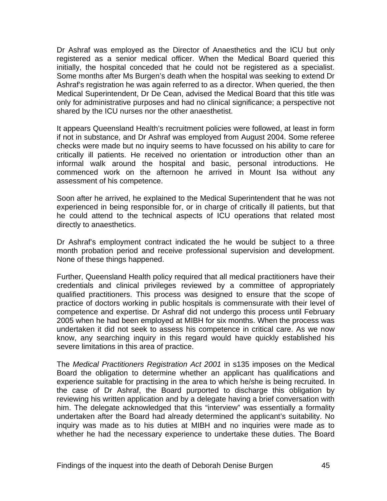Dr Ashraf was employed as the Director of Anaesthetics and the ICU but only registered as a senior medical officer. When the Medical Board queried this initially, the hospital conceded that he could not be registered as a specialist. Some months after Ms Burgen's death when the hospital was seeking to extend Dr Ashraf's registration he was again referred to as a director. When queried, the then Medical Superintendent, Dr De Cean, advised the Medical Board that this title was only for administrative purposes and had no clinical significance; a perspective not shared by the ICU nurses nor the other anaesthetist.

It appears Queensland Health's recruitment policies were followed, at least in form if not in substance, and Dr Ashraf was employed from August 2004. Some referee checks were made but no inquiry seems to have focussed on his ability to care for critically ill patients. He received no orientation or introduction other than an informal walk around the hospital and basic, personal introductions. He commenced work on the afternoon he arrived in Mount Isa without any assessment of his competence.

Soon after he arrived, he explained to the Medical Superintendent that he was not experienced in being responsible for, or in charge of critically ill patients, but that he could attend to the technical aspects of ICU operations that related most directly to anaesthetics.

Dr Ashraf's employment contract indicated the he would be subject to a three month probation period and receive professional supervision and development. None of these things happened.

Further, Queensland Health policy required that all medical practitioners have their credentials and clinical privileges reviewed by a committee of appropriately qualified practitioners. This process was designed to ensure that the scope of practice of doctors working in public hospitals is commensurate with their level of competence and expertise. Dr Ashraf did not undergo this process until February 2005 when he had been employed at MIBH for six months. When the process was undertaken it did not seek to assess his competence in critical care. As we now know, any searching inquiry in this regard would have quickly established his severe limitations in this area of practice.

The *Medical Practitioners Registration Act 2001* in s135 imposes on the Medical Board the obligation to determine whether an applicant has qualifications and experience suitable for practising in the area to which he/she is being recruited. In the case of Dr Ashraf, the Board purported to discharge this obligation by reviewing his written application and by a delegate having a brief conversation with him. The delegate acknowledged that this "interview" was essentially a formality undertaken after the Board had already determined the applicant's suitability. No inquiry was made as to his duties at MIBH and no inquiries were made as to whether he had the necessary experience to undertake these duties. The Board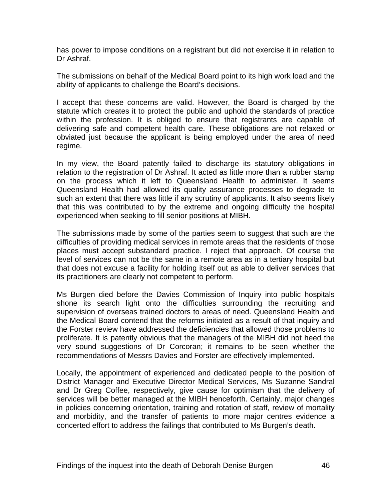has power to impose conditions on a registrant but did not exercise it in relation to Dr Ashraf.

The submissions on behalf of the Medical Board point to its high work load and the ability of applicants to challenge the Board's decisions.

I accept that these concerns are valid. However, the Board is charged by the statute which creates it to protect the public and uphold the standards of practice within the profession. It is obliged to ensure that registrants are capable of delivering safe and competent health care. These obligations are not relaxed or obviated just because the applicant is being employed under the area of need regime.

In my view, the Board patently failed to discharge its statutory obligations in relation to the registration of Dr Ashraf. It acted as little more than a rubber stamp on the process which it left to Queensland Health to administer. It seems Queensland Health had allowed its quality assurance processes to degrade to such an extent that there was little if any scrutiny of applicants. It also seems likely that this was contributed to by the extreme and ongoing difficulty the hospital experienced when seeking to fill senior positions at MIBH.

The submissions made by some of the parties seem to suggest that such are the difficulties of providing medical services in remote areas that the residents of those places must accept substandard practice. I reject that approach. Of course the level of services can not be the same in a remote area as in a tertiary hospital but that does not excuse a facility for holding itself out as able to deliver services that its practitioners are clearly not competent to perform.

Ms Burgen died before the Davies Commission of Inquiry into public hospitals shone its search light onto the difficulties surrounding the recruiting and supervision of overseas trained doctors to areas of need. Queensland Health and the Medical Board contend that the reforms initiated as a result of that inquiry and the Forster review have addressed the deficiencies that allowed those problems to proliferate. It is patently obvious that the managers of the MIBH did not heed the very sound suggestions of Dr Corcoran; it remains to be seen whether the recommendations of Messrs Davies and Forster are effectively implemented.

Locally, the appointment of experienced and dedicated people to the position of District Manager and Executive Director Medical Services, Ms Suzanne Sandral and Dr Greg Coffee, respectively, give cause for optimism that the delivery of services will be better managed at the MIBH henceforth. Certainly, major changes in policies concerning orientation, training and rotation of staff, review of mortality and morbidity, and the transfer of patients to more major centres evidence a concerted effort to address the failings that contributed to Ms Burgen's death.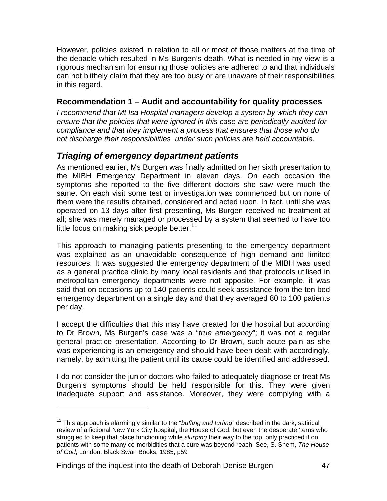<span id="page-48-0"></span>However, policies existed in relation to all or most of those matters at the time of the debacle which resulted in Ms Burgen's death. What is needed in my view is a rigorous mechanism for ensuring those policies are adhered to and that individuals can not blithely claim that they are too busy or are unaware of their responsibilities in this regard.

#### **Recommendation 1 – Audit and accountability for quality processes**

*I recommend that Mt Isa Hospital managers develop a system by which they can ensure that the policies that were ignored in this case are periodically audited for compliance and that they implement a process that ensures that those who do not discharge their responsibilities under such policies are held accountable.* 

# *Triaging of emergency department patients*

As mentioned earlier, Ms Burgen was finally admitted on her sixth presentation to the MIBH Emergency Department in eleven days. On each occasion the symptoms she reported to the five different doctors she saw were much the same. On each visit some test or investigation was commenced but on none of them were the results obtained, considered and acted upon. In fact, until she was operated on 13 days after first presenting, Ms Burgen received no treatment at all; she was merely managed or processed by a system that seemed to have too little focus on making sick people better. $11$ 

This approach to managing patients presenting to the emergency department was explained as an unavoidable consequence of high demand and limited resources. It was suggested the emergency department of the MIBH was used as a general practice clinic by many local residents and that protocols utilised in metropolitan emergency departments were not apposite. For example, it was said that on occasions up to 140 patients could seek assistance from the ten bed emergency department on a single day and that they averaged 80 to 100 patients per day.

I accept the difficulties that this may have created for the hospital but according to Dr Brown, Ms Burgen's case was a "*true emergency*"; it was not a regular general practice presentation. According to Dr Brown, such acute pain as she was experiencing is an emergency and should have been dealt with accordingly, namely, by admitting the patient until its cause could be identified and addressed.

I do not consider the junior doctors who failed to adequately diagnose or treat Ms Burgen's symptoms should be held responsible for this. They were given inadequate support and assistance. Moreover, they were complying with a

Findings of the inquest into the death of Deborah Denise Burgen 47

l

<span id="page-48-1"></span><sup>&</sup>lt;sup>11</sup> This approach is alarmingly similar to the "buffing and turfing" described in the dark, satirical review of a fictional New York City hospital, the House of God; but even the desperate 'terns who struggled to keep that place functioning while *slurping* their way to the top, only practiced it on patients with some many co-morbidities that a cure was beyond reach. See, S. Shem, *The House of God*, London, Black Swan Books, 1985, p59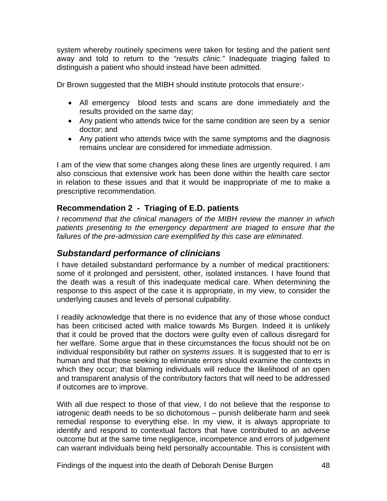<span id="page-49-0"></span>system whereby routinely specimens were taken for testing and the patient sent away and told to return to the "*results clinic."* Inadequate triaging failed to distinguish a patient who should instead have been admitted.

Dr Brown suggested that the MIBH should institute protocols that ensure:-

- All emergency blood tests and scans are done immediately and the results provided on the same day;
- Any patient who attends twice for the same condition are seen by a senior doctor; and
- Any patient who attends twice with the same symptoms and the diagnosis remains unclear are considered for immediate admission.

I am of the view that some changes along these lines are urgently required. I am also conscious that extensive work has been done within the health care sector in relation to these issues and that it would be inappropriate of me to make a prescriptive recommendation.

# **Recommendation 2 - Triaging of E.D. patients**

*I recommend that the clinical managers of the MIBH review the manner in which*  patients presenting to the emergency department are triaged to ensure that the *failures of the pre-admission care exemplified by this case are eliminated.* 

# *Substandard performance of clinicians*

I have detailed substandard performance by a number of medical practitioners: some of it prolonged and persistent, other, isolated instances. I have found that the death was a result of this inadequate medical care. When determining the response to this aspect of the case it is appropriate, in my view, to consider the underlying causes and levels of personal culpability.

I readily acknowledge that there is no evidence that any of those whose conduct has been criticised acted with malice towards Ms Burgen. Indeed it is unlikely that it could be proved that the doctors were guilty even of callous disregard for her welfare. Some argue that in these circumstances the focus should not be on individual responsibility but rather on *systems issues*. It is suggested that to err is human and that those seeking to eliminate errors should examine the contexts in which they occur; that blaming individuals will reduce the likelihood of an open and transparent analysis of the contributory factors that will need to be addressed if outcomes are to improve.

With all due respect to those of that view, I do not believe that the response to iatrogenic death needs to be so dichotomous – punish deliberate harm and seek remedial response to everything else. In my view, it is always appropriate to identify and respond to contextual factors that have contributed to an adverse outcome but at the same time negligence, incompetence and errors of judgement can warrant individuals being held personally accountable. This is consistent with

Findings of the inquest into the death of Deborah Denise Burgen 48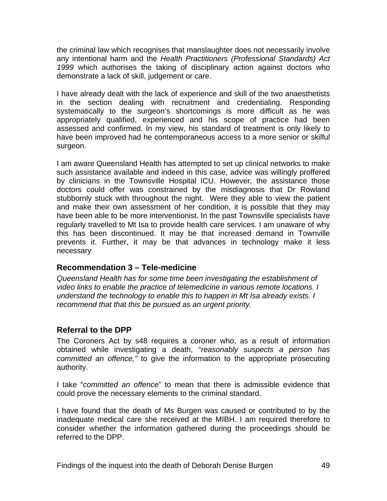<span id="page-50-0"></span>the criminal law which recognises that manslaughter does not necessarily involve any intentional harm and the *Health Practitioners (Professional Standards) Act 1999* which authorises the taking of disciplinary action against doctors who demonstrate a lack of skill, judgement or care.

I have already dealt with the lack of experience and skill of the two anaesthetists in the section dealing with recruitment and credentialing. Responding systematically to the surgeon's shortcomings is more difficult as he was appropriately qualified, experienced and his scope of practice had been assessed and confirmed. In my view, his standard of treatment is only likely to have been improved had he contemporaneous access to a more senior or skilful surgeon.

I am aware Queensland Health has attempted to set up clinical networks to make such assistance available and indeed in this case, advice was willingly proffered by clinicians in the Townsville Hospital ICU. However, the assistance those doctors could offer was constrained by the misdiagnosis that Dr Rowland stubbornly stuck with throughout the night. Were they able to view the patient and make their own assessment of her condition, it is possible that they may have been able to be more interventionist. In the past Townsville specialists have regularly travelled to Mt Isa to provide health care services. I am unaware of why this has been discontinued. It may be that increased demand in Townville prevents it. Further, it may be that advances in technology make it less necessary

#### **Recommendation 3 – Tele-medicine**

*Queensland Health has for some time been investigating the establishment of video links to enable the practice of telemedicine in various remote locations. I understand the technology to enable this to happen in Mt Isa already exists. I recommend that that this be pursued as an urgent priority.* 

#### **Referral to the DPP**

The Coroners Act by s48 requires a coroner who, as a result of information obtained while investigating a death, "*reasonably suspects a person has committed an offence,"* to give the information to the appropriate prosecuting authority.

I take "*committed an offence*" to mean that there is admissible evidence that could prove the necessary elements to the criminal standard.

I have found that the death of Ms Burgen was caused or contributed to by the inadequate medical care she received at the MIBH. I am required therefore to consider whether the information gathered during the proceedings should be referred to the DPP.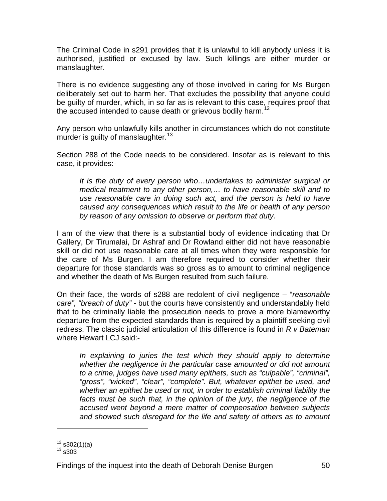The Criminal Code in s291 provides that it is unlawful to kill anybody unless it is authorised, justified or excused by law. Such killings are either murder or manslaughter.

There is no evidence suggesting any of those involved in caring for Ms Burgen deliberately set out to harm her. That excludes the possibility that anyone could be guilty of murder, which, in so far as is relevant to this case, requires proof that the accused intended to cause death or grievous bodily harm.<sup>[12](#page-51-0)</sup>

Any person who unlawfully kills another in circumstances which do not constitute murder is quilty of manslaughter. $13$ 

Section 288 of the Code needs to be considered. Insofar as is relevant to this case, it provides:-

*It is the duty of every person who…undertakes to administer surgical or medical treatment to any other person,… to have reasonable skill and to use reasonable care in doing such act, and the person is held to have caused any consequences which result to the life or health of any person by reason of any omission to observe or perform that duty.* 

I am of the view that there is a substantial body of evidence indicating that Dr Gallery, Dr Tirumalai, Dr Ashraf and Dr Rowland either did not have reasonable skill or did not use reasonable care at all times when they were responsible for the care of Ms Burgen. I am therefore required to consider whether their departure for those standards was so gross as to amount to criminal negligence and whether the death of Ms Burgen resulted from such failure.

On their face, the words of s288 are redolent of civil negligence – "*reasonable care", "breach of duty"* - but the courts have consistently and understandably held that to be criminally liable the prosecution needs to prove a more blameworthy departure from the expected standards than is required by a plaintiff seeking civil redress. The classic judicial articulation of this difference is found in *R v Bateman* where Hewart LCJ said:-

*In explaining to juries the test which they should apply to determine whether the negligence in the particular case amounted or did not amount to a crime, judges have used many epithets, such as "culpable", "criminal", "gross", "wicked", "clear", "complete". But, whatever epithet be used, and whether an epithet be used or not, in order to establish criminal liability the*  facts must be such that, in the opinion of the jury, the negligence of the *accused went beyond a mere matter of compensation between subjects and showed such disregard for the life and safety of others as to amount* 

l

<span id="page-51-1"></span><span id="page-51-0"></span> $\frac{12}{13}$  s302(1)(a)<br> $\frac{13}{13}$  s303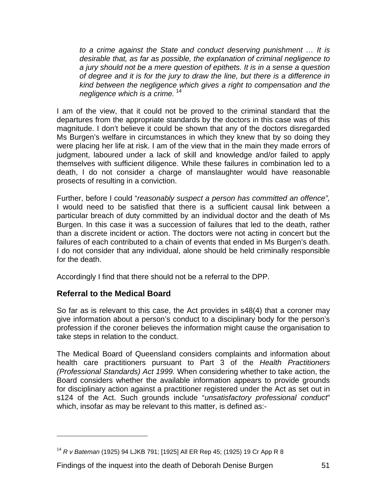<span id="page-52-0"></span>*to a crime against the State and conduct deserving punishment … It is desirable that, as far as possible, the explanation of criminal negligence to a jury should not be a mere question of epithets. It is in a sense a question of degree and it is for the jury to draw the line, but there is a difference in kind between the negligence which gives a right to compensation and the negligence which is a crime.* [14](#page-52-1)

I am of the view, that it could not be proved to the criminal standard that the departures from the appropriate standards by the doctors in this case was of this magnitude. I don't believe it could be shown that any of the doctors disregarded Ms Burgen's welfare in circumstances in which they knew that by so doing they were placing her life at risk. I am of the view that in the main they made errors of judgment, laboured under a lack of skill and knowledge and/or failed to apply themselves with sufficient diligence. While these failures in combination led to a death, I do not consider a charge of manslaughter would have reasonable prosects of resulting in a conviction.

Further, before I could "*reasonably suspect a person has committed an offence",*  I would need to be satisfied that there is a sufficient causal link between a particular breach of duty committed by an individual doctor and the death of Ms Burgen. In this case it was a succession of failures that led to the death, rather than a discrete incident or action. The doctors were not acting in concert but the failures of each contributed to a chain of events that ended in Ms Burgen's death. I do not consider that any individual, alone should be held criminally responsible for the death.

Accordingly I find that there should not be a referral to the DPP.

#### **Referral to the Medical Board**

l

So far as is relevant to this case, the Act provides in s48(4) that a coroner may give information about a person's conduct to a disciplinary body for the person's profession if the coroner believes the information might cause the organisation to take steps in relation to the conduct.

The Medical Board of Queensland considers complaints and information about health care practitioners pursuant to Part 3 of the *Health Practitioners (Professional Standards) Act 1999.* When considering whether to take action, the Board considers whether the available information appears to provide grounds for disciplinary action against a practitioner registered under the Act as set out in s124 of the Act. Such grounds include "*unsatisfactory professional conduct*" which, insofar as may be relevant to this matter, is defined as:-

<span id="page-52-1"></span><sup>14</sup> *R v Bateman* (1925) 94 LJKB 791; [1925] All ER Rep 45; (1925) 19 Cr App R 8

Findings of the inquest into the death of Deborah Denise Burgen 51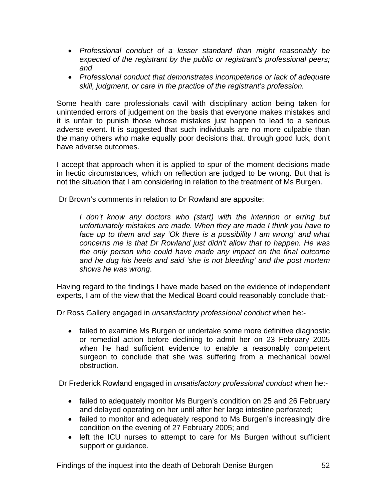- *Professional conduct of a lesser standard than might reasonably be expected of the registrant by the public or registrant's professional peers; and*
- *Professional conduct that demonstrates incompetence or lack of adequate skill, judgment, or care in the practice of the registrant's profession.*

Some health care professionals cavil with disciplinary action being taken for unintended errors of judgement on the basis that everyone makes mistakes and it is unfair to punish those whose mistakes just happen to lead to a serious adverse event. It is suggested that such individuals are no more culpable than the many others who make equally poor decisions that, through good luck, don't have adverse outcomes.

I accept that approach when it is applied to spur of the moment decisions made in hectic circumstances, which on reflection are judged to be wrong. But that is not the situation that I am considering in relation to the treatment of Ms Burgen.

Dr Brown's comments in relation to Dr Rowland are apposite:

*I don't know any doctors who (start) with the intention or erring but unfortunately mistakes are made. When they are made I think you have to face up to them and say 'Ok there is a possibility I am wrong' and what concerns me is that Dr Rowland just didn't allow that to happen. He was the only person who could have made any impact on the final outcome and he dug his heels and said 'she is not bleeding' and the post mortem shows he was wrong*.

Having regard to the findings I have made based on the evidence of independent experts, I am of the view that the Medical Board could reasonably conclude that:-

Dr Ross Gallery engaged in *unsatisfactory professional conduct* when he:-

• failed to examine Ms Burgen or undertake some more definitive diagnostic or remedial action before declining to admit her on 23 February 2005 when he had sufficient evidence to enable a reasonably competent surgeon to conclude that she was suffering from a mechanical bowel obstruction.

Dr Frederick Rowland engaged in *unsatisfactory professional conduct* when he:-

- failed to adequately monitor Ms Burgen's condition on 25 and 26 February and delayed operating on her until after her large intestine perforated;
- failed to monitor and adequately respond to Ms Burgen's increasingly dire condition on the evening of 27 February 2005; and
- left the ICU nurses to attempt to care for Ms Burgen without sufficient support or guidance.

Findings of the inquest into the death of Deborah Denise Burgen 52